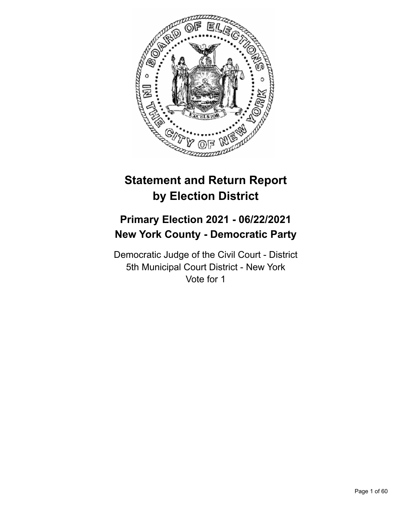

# **Statement and Return Report by Election District**

# **Primary Election 2021 - 06/22/2021 New York County - Democratic Party**

Democratic Judge of the Civil Court - District 5th Municipal Court District - New York Vote for 1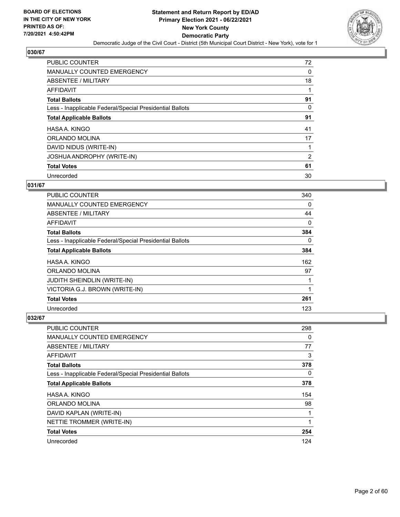

| <b>PUBLIC COUNTER</b>                                    | 72 |
|----------------------------------------------------------|----|
| <b>MANUALLY COUNTED EMERGENCY</b>                        | 0  |
| ABSENTEE / MILITARY                                      | 18 |
| <b>AFFIDAVIT</b>                                         |    |
| <b>Total Ballots</b>                                     | 91 |
| Less - Inapplicable Federal/Special Presidential Ballots | 0  |
| <b>Total Applicable Ballots</b>                          | 91 |
| HASA A. KINGO                                            | 41 |
| ORLANDO MOLINA                                           | 17 |
| DAVID NIDUS (WRITE-IN)                                   |    |
| JOSHUA ANDROPHY (WRITE-IN)                               | 2  |
| <b>Total Votes</b>                                       | 61 |
| Unrecorded                                               | 30 |

## **031/67**

| <b>PUBLIC COUNTER</b>                                    | 340 |
|----------------------------------------------------------|-----|
| <b>MANUALLY COUNTED EMERGENCY</b>                        | 0   |
| ABSENTEE / MILITARY                                      | 44  |
| <b>AFFIDAVIT</b>                                         | 0   |
| <b>Total Ballots</b>                                     | 384 |
| Less - Inapplicable Federal/Special Presidential Ballots | 0   |
| <b>Total Applicable Ballots</b>                          | 384 |
| HASA A. KINGO                                            | 162 |
| ORLANDO MOLINA                                           | 97  |
| JUDITH SHEINDLIN (WRITE-IN)                              |     |
| VICTORIA G.J. BROWN (WRITE-IN)                           |     |
| <b>Total Votes</b>                                       | 261 |
| Unrecorded                                               | 123 |

| PUBLIC COUNTER                                           | 298      |
|----------------------------------------------------------|----------|
| <b>MANUALLY COUNTED EMERGENCY</b>                        | 0        |
| ABSENTEE / MILITARY                                      | 77       |
| AFFIDAVIT                                                | 3        |
| <b>Total Ballots</b>                                     | 378      |
| Less - Inapplicable Federal/Special Presidential Ballots | $\Omega$ |
| <b>Total Applicable Ballots</b>                          | 378      |
| HASA A. KINGO                                            | 154      |
| ORLANDO MOLINA                                           | 98       |
| DAVID KAPLAN (WRITE-IN)                                  |          |
| NETTIE TROMMER (WRITE-IN)                                | 1        |
| <b>Total Votes</b>                                       | 254      |
| Unrecorded                                               | 124      |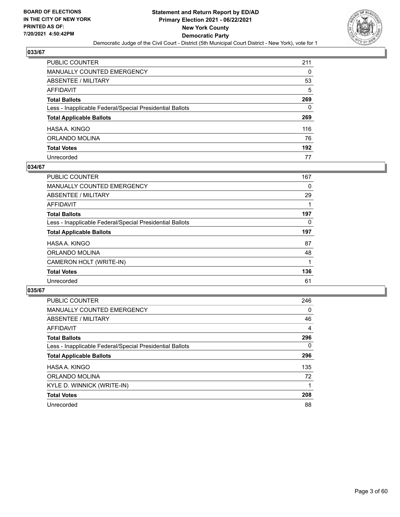

| PUBLIC COUNTER                                           | 211 |
|----------------------------------------------------------|-----|
| MANUALLY COUNTED EMERGENCY                               | 0   |
| ABSENTEE / MILITARY                                      | 53  |
| AFFIDAVIT                                                | 5   |
| Total Ballots                                            | 269 |
| Less - Inapplicable Federal/Special Presidential Ballots | 0   |
| <b>Total Applicable Ballots</b>                          | 269 |
| HASA A. KINGO                                            | 116 |
| ORLANDO MOLINA                                           | 76  |
| <b>Total Votes</b>                                       | 192 |
| Unrecorded                                               | 77  |

## **034/67**

| PUBLIC COUNTER                                           | 167 |
|----------------------------------------------------------|-----|
| MANUALLY COUNTED EMERGENCY                               | 0   |
| ABSENTEE / MILITARY                                      | 29  |
| AFFIDAVIT                                                |     |
| <b>Total Ballots</b>                                     | 197 |
| Less - Inapplicable Federal/Special Presidential Ballots | 0   |
| <b>Total Applicable Ballots</b>                          | 197 |
| HASA A. KINGO                                            | 87  |
| ORLANDO MOLINA                                           | 48  |
| CAMERON HOLT (WRITE-IN)                                  |     |
| <b>Total Votes</b>                                       | 136 |
| Unrecorded                                               | 61  |

| PUBLIC COUNTER                                           | 246            |
|----------------------------------------------------------|----------------|
| <b>MANUALLY COUNTED EMERGENCY</b>                        | 0              |
| ABSENTEE / MILITARY                                      | 46             |
| <b>AFFIDAVIT</b>                                         | $\overline{4}$ |
| <b>Total Ballots</b>                                     | 296            |
| Less - Inapplicable Federal/Special Presidential Ballots | $\Omega$       |
| <b>Total Applicable Ballots</b>                          | 296            |
| HASA A. KINGO                                            | 135            |
| ORLANDO MOLINA                                           | 72             |
| KYLE D. WINNICK (WRITE-IN)                               |                |
| <b>Total Votes</b>                                       | 208            |
| Unrecorded                                               | 88             |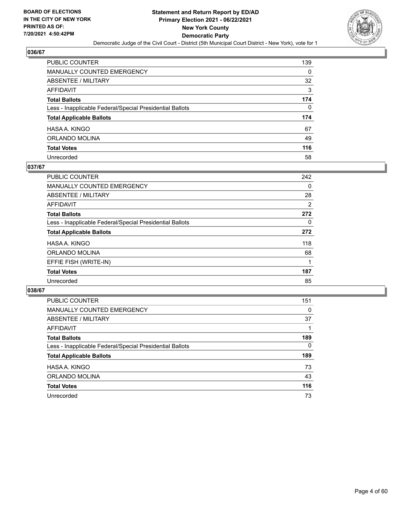

| PUBLIC COUNTER                                           | 139      |
|----------------------------------------------------------|----------|
| MANUALLY COUNTED EMERGENCY                               | 0        |
| <b>ABSENTEE / MILITARY</b>                               | 32       |
| AFFIDAVIT                                                | 3        |
| Total Ballots                                            | 174      |
| Less - Inapplicable Federal/Special Presidential Ballots | $\Omega$ |
| <b>Total Applicable Ballots</b>                          | 174      |
| HASA A. KINGO                                            | 67       |
| ORLANDO MOLINA                                           | 49       |
| <b>Total Votes</b>                                       | 116      |
| Unrecorded                                               | 58       |

## **037/67**

| <b>PUBLIC COUNTER</b>                                    | 242            |
|----------------------------------------------------------|----------------|
| <b>MANUALLY COUNTED EMERGENCY</b>                        | 0              |
| ABSENTEE / MILITARY                                      | 28             |
| AFFIDAVIT                                                | $\overline{2}$ |
| <b>Total Ballots</b>                                     | 272            |
| Less - Inapplicable Federal/Special Presidential Ballots | $\Omega$       |
| <b>Total Applicable Ballots</b>                          | 272            |
| HASA A. KINGO                                            | 118            |
| ORLANDO MOLINA                                           | 68             |
| EFFIE FISH (WRITE-IN)                                    |                |
| <b>Total Votes</b>                                       | 187            |
| Unrecorded                                               | 85             |

| PUBLIC COUNTER                                           | 151      |
|----------------------------------------------------------|----------|
| <b>MANUALLY COUNTED EMERGENCY</b>                        | $\Omega$ |
| ABSENTEE / MILITARY                                      | 37       |
| AFFIDAVIT                                                |          |
| <b>Total Ballots</b>                                     | 189      |
| Less - Inapplicable Federal/Special Presidential Ballots | $\Omega$ |
| <b>Total Applicable Ballots</b>                          | 189      |
| HASA A. KINGO                                            | 73       |
| ORLANDO MOLINA                                           | 43       |
| <b>Total Votes</b>                                       | 116      |
| Unrecorded                                               | 73       |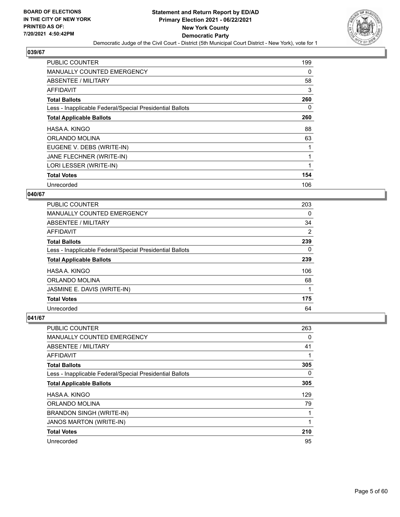

| <b>PUBLIC COUNTER</b>                                    | 199 |
|----------------------------------------------------------|-----|
| <b>MANUALLY COUNTED EMERGENCY</b>                        | 0   |
| ABSENTEE / MILITARY                                      | 58  |
| AFFIDAVIT                                                | 3   |
| <b>Total Ballots</b>                                     | 260 |
| Less - Inapplicable Federal/Special Presidential Ballots | 0   |
| <b>Total Applicable Ballots</b>                          | 260 |
| HASA A. KINGO                                            | 88  |
| ORLANDO MOLINA                                           | 63  |
| EUGENE V. DEBS (WRITE-IN)                                |     |
| JANE FLECHNER (WRITE-IN)                                 | 1   |
| LORI LESSER (WRITE-IN)                                   |     |
| <b>Total Votes</b>                                       | 154 |
| Unrecorded                                               | 106 |

## **040/67**

| <b>PUBLIC COUNTER</b>                                    | 203            |
|----------------------------------------------------------|----------------|
| MANUALLY COUNTED EMERGENCY                               | $\Omega$       |
| ABSENTEE / MILITARY                                      | 34             |
| <b>AFFIDAVIT</b>                                         | $\overline{2}$ |
| <b>Total Ballots</b>                                     | 239            |
| Less - Inapplicable Federal/Special Presidential Ballots | $\Omega$       |
| <b>Total Applicable Ballots</b>                          | 239            |
| HASA A. KINGO                                            | 106            |
| ORLANDO MOLINA                                           | 68             |
| JASMINE E. DAVIS (WRITE-IN)                              |                |
| <b>Total Votes</b>                                       | 175            |
| Unrecorded                                               | 64             |

| <b>PUBLIC COUNTER</b>                                    | 263      |
|----------------------------------------------------------|----------|
| <b>MANUALLY COUNTED EMERGENCY</b>                        | 0        |
| ABSENTEE / MILITARY                                      | 41       |
| AFFIDAVIT                                                | 1        |
| <b>Total Ballots</b>                                     | 305      |
| Less - Inapplicable Federal/Special Presidential Ballots | $\Omega$ |
| <b>Total Applicable Ballots</b>                          | 305      |
| HASA A. KINGO                                            | 129      |
| ORLANDO MOLINA                                           | 79       |
| <b>BRANDON SINGH (WRITE-IN)</b>                          |          |
| JANOS MARTON (WRITE-IN)                                  | 1        |
| <b>Total Votes</b>                                       | 210      |
| Unrecorded                                               | 95       |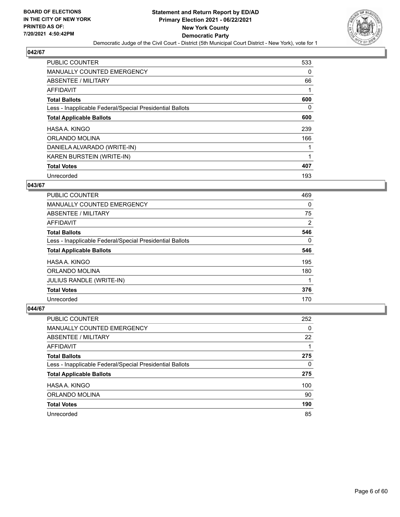

| <b>PUBLIC COUNTER</b>                                    | 533      |
|----------------------------------------------------------|----------|
| <b>MANUALLY COUNTED EMERGENCY</b>                        | $\Omega$ |
| ABSENTEE / MILITARY                                      | 66       |
| <b>AFFIDAVIT</b>                                         |          |
| <b>Total Ballots</b>                                     | 600      |
| Less - Inapplicable Federal/Special Presidential Ballots | $\Omega$ |
| <b>Total Applicable Ballots</b>                          | 600      |
| HASA A. KINGO                                            | 239      |
| ORLANDO MOLINA                                           | 166      |
| DANIELA ALVARADO (WRITE-IN)                              |          |
| KAREN BURSTEIN (WRITE-IN)                                |          |
| <b>Total Votes</b>                                       | 407      |
| Unrecorded                                               | 193      |

## **043/67**

| <b>PUBLIC COUNTER</b>                                    | 469      |
|----------------------------------------------------------|----------|
| <b>MANUALLY COUNTED EMERGENCY</b>                        | 0        |
| ABSENTEE / MILITARY                                      | 75       |
| AFFIDAVIT                                                | 2        |
| <b>Total Ballots</b>                                     | 546      |
| Less - Inapplicable Federal/Special Presidential Ballots | $\Omega$ |
| <b>Total Applicable Ballots</b>                          | 546      |
| HASA A. KINGO                                            | 195      |
| ORLANDO MOLINA                                           | 180      |
| <b>JULIUS RANDLE (WRITE-IN)</b>                          |          |
| <b>Total Votes</b>                                       | 376      |
| Unrecorded                                               | 170      |

| <b>PUBLIC COUNTER</b>                                    | 252      |
|----------------------------------------------------------|----------|
| MANUALLY COUNTED EMERGENCY                               | $\Omega$ |
| ABSENTEE / MILITARY                                      | 22       |
| AFFIDAVIT                                                |          |
| <b>Total Ballots</b>                                     | 275      |
| Less - Inapplicable Federal/Special Presidential Ballots | 0        |
| <b>Total Applicable Ballots</b>                          | 275      |
| HASA A. KINGO                                            | 100      |
| ORLANDO MOLINA                                           | 90       |
| <b>Total Votes</b>                                       | 190      |
| Unrecorded                                               | 85       |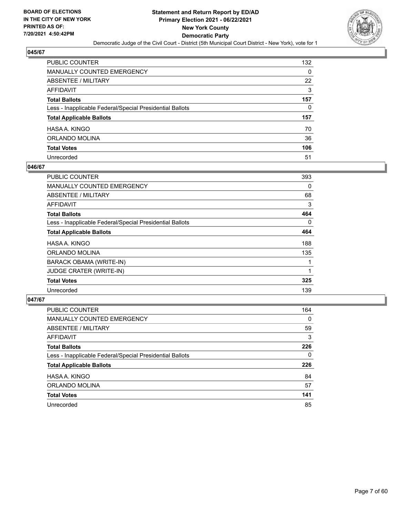

| PUBLIC COUNTER                                           | 132 |
|----------------------------------------------------------|-----|
| MANUALLY COUNTED EMERGENCY                               | 0   |
| <b>ABSENTEE / MILITARY</b>                               | 22  |
| AFFIDAVIT                                                | 3   |
| Total Ballots                                            | 157 |
| Less - Inapplicable Federal/Special Presidential Ballots | 0   |
| <b>Total Applicable Ballots</b>                          | 157 |
| HASA A. KINGO                                            | 70  |
| ORLANDO MOLINA                                           | 36  |
| <b>Total Votes</b>                                       | 106 |
| Unrecorded                                               | 51  |

## **046/67**

| PUBLIC COUNTER                                           | 393 |
|----------------------------------------------------------|-----|
| <b>MANUALLY COUNTED EMERGENCY</b>                        | 0   |
| ABSENTEE / MILITARY                                      | 68  |
| AFFIDAVIT                                                | 3   |
| <b>Total Ballots</b>                                     | 464 |
| Less - Inapplicable Federal/Special Presidential Ballots | 0   |
| <b>Total Applicable Ballots</b>                          | 464 |
| HASA A. KINGO                                            | 188 |
| ORLANDO MOLINA                                           | 135 |
| BARACK OBAMA (WRITE-IN)                                  |     |
| JUDGE CRATER (WRITE-IN)                                  |     |
| <b>Total Votes</b>                                       | 325 |
| Unrecorded                                               | 139 |

| <b>PUBLIC COUNTER</b>                                    | 164      |
|----------------------------------------------------------|----------|
| MANUALLY COUNTED EMERGENCY                               | $\Omega$ |
| ABSENTEE / MILITARY                                      | 59       |
| AFFIDAVIT                                                | 3        |
| <b>Total Ballots</b>                                     | 226      |
| Less - Inapplicable Federal/Special Presidential Ballots | $\Omega$ |
| <b>Total Applicable Ballots</b>                          | 226      |
| HASA A. KINGO                                            | 84       |
| ORLANDO MOLINA                                           | 57       |
| <b>Total Votes</b>                                       | 141      |
| Unrecorded                                               | 85       |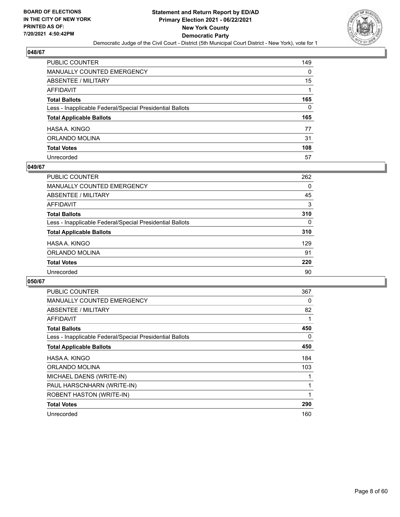

| PUBLIC COUNTER                                           | 149 |
|----------------------------------------------------------|-----|
| MANUALLY COUNTED EMERGENCY                               | 0   |
| ABSENTEE / MILITARY                                      | 15  |
| AFFIDAVIT                                                | 1   |
| Total Ballots                                            | 165 |
| Less - Inapplicable Federal/Special Presidential Ballots | 0   |
| <b>Total Applicable Ballots</b>                          | 165 |
| HASA A. KINGO                                            | 77  |
| ORLANDO MOLINA                                           | 31  |
| <b>Total Votes</b>                                       | 108 |
| Unrecorded                                               | 57  |

#### **049/67**

| <b>PUBLIC COUNTER</b>                                    | 262 |
|----------------------------------------------------------|-----|
| MANUALLY COUNTED EMERGENCY                               | 0   |
| <b>ABSENTEE / MILITARY</b>                               | 45  |
| AFFIDAVIT                                                | 3   |
| <b>Total Ballots</b>                                     | 310 |
| Less - Inapplicable Federal/Special Presidential Ballots | 0   |
| <b>Total Applicable Ballots</b>                          | 310 |
| HASA A. KINGO                                            | 129 |
| ORLANDO MOLINA                                           | 91  |
| <b>Total Votes</b>                                       | 220 |
| Unrecorded                                               | 90  |

| <b>PUBLIC COUNTER</b>                                    | 367 |
|----------------------------------------------------------|-----|
| <b>MANUALLY COUNTED EMERGENCY</b>                        | 0   |
| ABSENTEE / MILITARY                                      | 82  |
| <b>AFFIDAVIT</b>                                         |     |
| <b>Total Ballots</b>                                     | 450 |
| Less - Inapplicable Federal/Special Presidential Ballots | 0   |
| <b>Total Applicable Ballots</b>                          | 450 |
| HASA A. KINGO                                            | 184 |
| ORLANDO MOLINA                                           | 103 |
| MICHAEL DAENS (WRITE-IN)                                 |     |
| PAUL HARSCNHARN (WRITE-IN)                               |     |
| ROBENT HASTON (WRITE-IN)                                 |     |
| <b>Total Votes</b>                                       | 290 |
| Unrecorded                                               | 160 |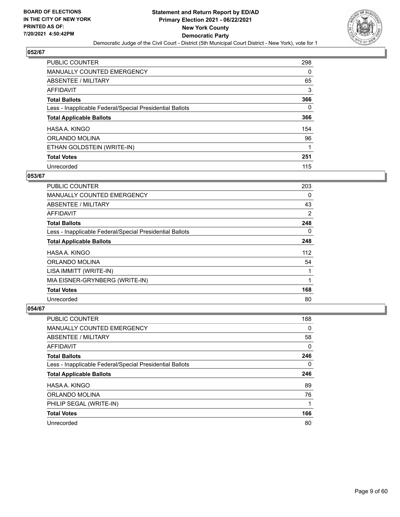

| <b>PUBLIC COUNTER</b>                                    | 298 |
|----------------------------------------------------------|-----|
| <b>MANUALLY COUNTED EMERGENCY</b>                        | 0   |
| ABSENTEE / MILITARY                                      | 65  |
| AFFIDAVIT                                                | 3   |
| <b>Total Ballots</b>                                     | 366 |
| Less - Inapplicable Federal/Special Presidential Ballots | 0   |
| <b>Total Applicable Ballots</b>                          | 366 |
| HASA A. KINGO                                            | 154 |
| ORLANDO MOLINA                                           | 96  |
| ETHAN GOLDSTEIN (WRITE-IN)                               |     |
| <b>Total Votes</b>                                       | 251 |
| Unrecorded                                               | 115 |

## **053/67**

| <b>PUBLIC COUNTER</b>                                    | 203      |
|----------------------------------------------------------|----------|
| <b>MANUALLY COUNTED EMERGENCY</b>                        | $\Omega$ |
| ABSENTEE / MILITARY                                      | 43       |
| <b>AFFIDAVIT</b>                                         | 2        |
| <b>Total Ballots</b>                                     | 248      |
| Less - Inapplicable Federal/Special Presidential Ballots | $\Omega$ |
| <b>Total Applicable Ballots</b>                          | 248      |
| HASA A. KINGO                                            | 112      |
| ORLANDO MOLINA                                           | 54       |
| LISA IMMITT (WRITE-IN)                                   |          |
| MIA EISNER-GRYNBERG (WRITE-IN)                           | 1        |
| <b>Total Votes</b>                                       | 168      |
| Unrecorded                                               | 80       |

| <b>PUBLIC COUNTER</b>                                    | 188      |
|----------------------------------------------------------|----------|
| <b>MANUALLY COUNTED EMERGENCY</b>                        | 0        |
| ABSENTEE / MILITARY                                      | 58       |
| AFFIDAVIT                                                | $\Omega$ |
| <b>Total Ballots</b>                                     | 246      |
| Less - Inapplicable Federal/Special Presidential Ballots | $\Omega$ |
| <b>Total Applicable Ballots</b>                          | 246      |
| HASA A. KINGO                                            | 89       |
| ORLANDO MOLINA                                           | 76       |
| PHILIP SEGAL (WRITE-IN)                                  |          |
| <b>Total Votes</b>                                       | 166      |
| Unrecorded                                               | 80       |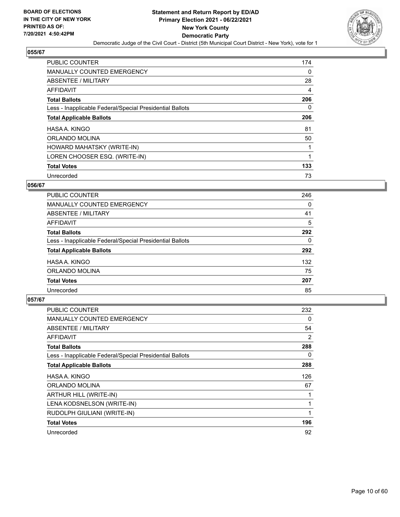

| <b>PUBLIC COUNTER</b>                                    | 174      |
|----------------------------------------------------------|----------|
| MANUALLY COUNTED EMERGENCY                               | $\Omega$ |
| ABSENTEE / MILITARY                                      | 28       |
| AFFIDAVIT                                                | 4        |
| <b>Total Ballots</b>                                     | 206      |
| Less - Inapplicable Federal/Special Presidential Ballots | 0        |
| <b>Total Applicable Ballots</b>                          | 206      |
| HASA A. KINGO                                            | 81       |
| ORLANDO MOLINA                                           | 50       |
| HOWARD MAHATSKY (WRITE-IN)                               |          |
| LOREN CHOOSER ESQ. (WRITE-IN)                            |          |
| <b>Total Votes</b>                                       | 133      |
| Unrecorded                                               | 73       |

## **056/67**

| <b>PUBLIC COUNTER</b>                                    | 246 |
|----------------------------------------------------------|-----|
| <b>MANUALLY COUNTED EMERGENCY</b>                        | 0   |
| ABSENTEE / MILITARY                                      | 41  |
| <b>AFFIDAVIT</b>                                         | 5   |
| <b>Total Ballots</b>                                     | 292 |
| Less - Inapplicable Federal/Special Presidential Ballots | 0   |
| <b>Total Applicable Ballots</b>                          | 292 |
| HASA A. KINGO                                            | 132 |
| ORLANDO MOLINA                                           | 75  |
| <b>Total Votes</b>                                       | 207 |
| Unrecorded                                               | 85  |

| <b>PUBLIC COUNTER</b>                                    | 232 |
|----------------------------------------------------------|-----|
| <b>MANUALLY COUNTED EMERGENCY</b>                        | 0   |
| ABSENTEE / MILITARY                                      | 54  |
| AFFIDAVIT                                                | 2   |
| <b>Total Ballots</b>                                     | 288 |
| Less - Inapplicable Federal/Special Presidential Ballots | 0   |
| <b>Total Applicable Ballots</b>                          | 288 |
| HASA A. KINGO                                            | 126 |
| ORLANDO MOLINA                                           | 67  |
| ARTHUR HILL (WRITE-IN)                                   | 1   |
| LENA KODSNELSON (WRITE-IN)                               | 1   |
| RUDOLPH GIULIANI (WRITE-IN)                              | 1   |
| <b>Total Votes</b>                                       | 196 |
| Unrecorded                                               | 92  |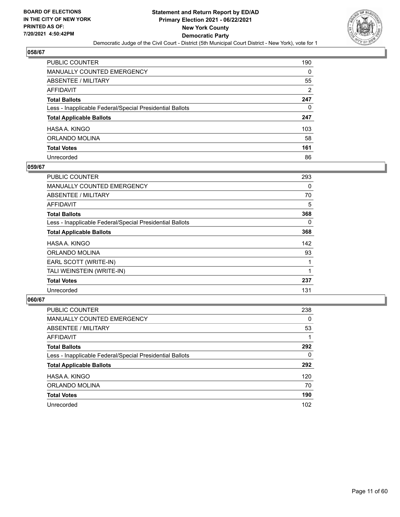

| PUBLIC COUNTER                                           | 190            |
|----------------------------------------------------------|----------------|
| MANUALLY COUNTED EMERGENCY                               | 0              |
| ABSENTEE / MILITARY                                      | 55             |
| AFFIDAVIT                                                | $\overline{2}$ |
| <b>Total Ballots</b>                                     | 247            |
| Less - Inapplicable Federal/Special Presidential Ballots | 0              |
| <b>Total Applicable Ballots</b>                          | 247            |
| HASA A. KINGO                                            | 103            |
| ORLANDO MOLINA                                           | 58             |
| <b>Total Votes</b>                                       | 161            |
| Unrecorded                                               | 86             |

#### **059/67**

| PUBLIC COUNTER                                           | 293      |
|----------------------------------------------------------|----------|
| <b>MANUALLY COUNTED EMERGENCY</b>                        | $\Omega$ |
| ABSENTEE / MILITARY                                      | 70       |
| <b>AFFIDAVIT</b>                                         | 5        |
| <b>Total Ballots</b>                                     | 368      |
| Less - Inapplicable Federal/Special Presidential Ballots | 0        |
| <b>Total Applicable Ballots</b>                          | 368      |
| HASA A. KINGO                                            | 142      |
| ORLANDO MOLINA                                           | 93       |
| EARL SCOTT (WRITE-IN)                                    |          |
| TALI WEINSTEIN (WRITE-IN)                                |          |
| <b>Total Votes</b>                                       | 237      |
| Unrecorded                                               | 131      |

| PUBLIC COUNTER                                           | 238      |
|----------------------------------------------------------|----------|
| <b>MANUALLY COUNTED EMERGENCY</b>                        | $\Omega$ |
| ABSENTEE / MILITARY                                      | 53       |
| AFFIDAVIT                                                |          |
| <b>Total Ballots</b>                                     | 292      |
| Less - Inapplicable Federal/Special Presidential Ballots | $\Omega$ |
| <b>Total Applicable Ballots</b>                          | 292      |
| HASA A. KINGO                                            | 120      |
| ORLANDO MOLINA                                           | 70       |
| <b>Total Votes</b>                                       | 190      |
| Unrecorded                                               | 102      |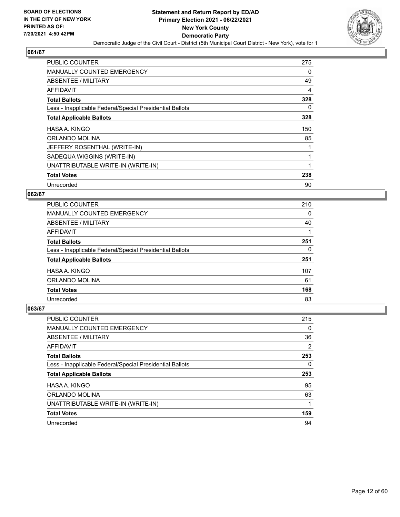

| <b>PUBLIC COUNTER</b>                                    | 275 |
|----------------------------------------------------------|-----|
| <b>MANUALLY COUNTED EMERGENCY</b>                        | 0   |
| ABSENTEE / MILITARY                                      | 49  |
| <b>AFFIDAVIT</b>                                         | 4   |
| <b>Total Ballots</b>                                     | 328 |
| Less - Inapplicable Federal/Special Presidential Ballots | 0   |
| <b>Total Applicable Ballots</b>                          | 328 |
| HASA A. KINGO                                            | 150 |
| ORLANDO MOLINA                                           | 85  |
| JEFFERY ROSENTHAL (WRITE-IN)                             | 1   |
| SADEQUA WIGGINS (WRITE-IN)                               | 1   |
| UNATTRIBUTABLE WRITE-IN (WRITE-IN)                       | 1   |
| <b>Total Votes</b>                                       | 238 |
| Unrecorded                                               | 90  |

## **062/67**

| <b>PUBLIC COUNTER</b>                                    | 210 |
|----------------------------------------------------------|-----|
| <b>MANUALLY COUNTED EMERGENCY</b>                        | 0   |
| ABSENTEE / MILITARY                                      | 40  |
| <b>AFFIDAVIT</b>                                         |     |
| <b>Total Ballots</b>                                     | 251 |
| Less - Inapplicable Federal/Special Presidential Ballots | 0   |
| <b>Total Applicable Ballots</b>                          | 251 |
| HASA A. KINGO                                            | 107 |
| ORLANDO MOLINA                                           | 61  |
| <b>Total Votes</b>                                       | 168 |
| Unrecorded                                               | 83  |

| PUBLIC COUNTER                                           | 215 |
|----------------------------------------------------------|-----|
| <b>MANUALLY COUNTED EMERGENCY</b>                        | 0   |
| ABSENTEE / MILITARY                                      | 36  |
| <b>AFFIDAVIT</b>                                         | 2   |
| <b>Total Ballots</b>                                     | 253 |
| Less - Inapplicable Federal/Special Presidential Ballots | 0   |
| <b>Total Applicable Ballots</b>                          | 253 |
| HASA A. KINGO                                            | 95  |
|                                                          |     |
| ORLANDO MOLINA                                           | 63  |
| UNATTRIBUTABLE WRITE-IN (WRITE-IN)                       |     |
| <b>Total Votes</b>                                       | 159 |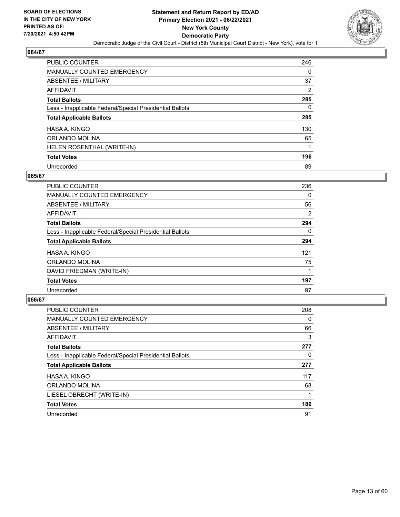

| PUBLIC COUNTER                                           | 246 |
|----------------------------------------------------------|-----|
| <b>MANUALLY COUNTED EMERGENCY</b>                        | 0   |
| ABSENTEE / MILITARY                                      | 37  |
| AFFIDAVIT                                                | 2   |
| <b>Total Ballots</b>                                     | 285 |
| Less - Inapplicable Federal/Special Presidential Ballots | 0   |
| <b>Total Applicable Ballots</b>                          | 285 |
| HASA A. KINGO                                            | 130 |
| ORLANDO MOLINA                                           | 65  |
| HELEN ROSENTHAL (WRITE-IN)                               |     |
| <b>Total Votes</b>                                       | 196 |
| Unrecorded                                               | 89  |

### **065/67**

| <b>PUBLIC COUNTER</b>                                    | 236            |
|----------------------------------------------------------|----------------|
| <b>MANUALLY COUNTED EMERGENCY</b>                        | $\Omega$       |
| ABSENTEE / MILITARY                                      | 56             |
| <b>AFFIDAVIT</b>                                         | $\overline{2}$ |
| <b>Total Ballots</b>                                     | 294            |
| Less - Inapplicable Federal/Special Presidential Ballots | $\Omega$       |
| <b>Total Applicable Ballots</b>                          | 294            |
| HASA A. KINGO                                            | 121            |
| ORLANDO MOLINA                                           | 75             |
| DAVID FRIEDMAN (WRITE-IN)                                |                |
| <b>Total Votes</b>                                       | 197            |
| Unrecorded                                               | 97             |

| <b>PUBLIC COUNTER</b>                                    | 208 |
|----------------------------------------------------------|-----|
| <b>MANUALLY COUNTED EMERGENCY</b>                        | 0   |
| <b>ABSENTEE / MILITARY</b>                               | 66  |
| <b>AFFIDAVIT</b>                                         | 3   |
| <b>Total Ballots</b>                                     | 277 |
| Less - Inapplicable Federal/Special Presidential Ballots | 0   |
| <b>Total Applicable Ballots</b>                          | 277 |
|                                                          |     |
| HASA A. KINGO                                            | 117 |
| ORLANDO MOLINA                                           | 68  |
| LIESEL OBRECHT (WRITE-IN)                                |     |
| <b>Total Votes</b>                                       | 186 |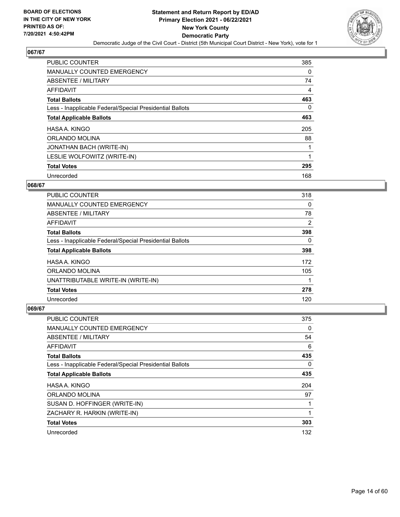

| PUBLIC COUNTER                                           | 385      |
|----------------------------------------------------------|----------|
| <b>MANUALLY COUNTED EMERGENCY</b>                        | $\Omega$ |
| ABSENTEE / MILITARY                                      | 74       |
| <b>AFFIDAVIT</b>                                         | 4        |
| <b>Total Ballots</b>                                     | 463      |
| Less - Inapplicable Federal/Special Presidential Ballots | $\Omega$ |
| <b>Total Applicable Ballots</b>                          | 463      |
| HASA A. KINGO                                            | 205      |
| ORLANDO MOLINA                                           | 88       |
| JONATHAN BACH (WRITE-IN)                                 |          |
| LESLIE WOLFOWITZ (WRITE-IN)                              |          |
| <b>Total Votes</b>                                       | 295      |
| Unrecorded                                               | 168      |

## **068/67**

| PUBLIC COUNTER                                           | 318      |
|----------------------------------------------------------|----------|
| <b>MANUALLY COUNTED EMERGENCY</b>                        | $\Omega$ |
| ABSENTEE / MILITARY                                      | 78       |
| AFFIDAVIT                                                | 2        |
| <b>Total Ballots</b>                                     | 398      |
| Less - Inapplicable Federal/Special Presidential Ballots | $\Omega$ |
| <b>Total Applicable Ballots</b>                          | 398      |
| HASA A. KINGO                                            | 172      |
| ORLANDO MOLINA                                           | 105      |
| UNATTRIBUTABLE WRITE-IN (WRITE-IN)                       |          |
| <b>Total Votes</b>                                       | 278      |
| Unrecorded                                               | 120      |

| <b>PUBLIC COUNTER</b>                                    | 375      |
|----------------------------------------------------------|----------|
| MANUALLY COUNTED EMERGENCY                               | 0        |
| ABSENTEE / MILITARY                                      | 54       |
| AFFIDAVIT                                                | 6        |
| <b>Total Ballots</b>                                     | 435      |
| Less - Inapplicable Federal/Special Presidential Ballots | $\Omega$ |
| <b>Total Applicable Ballots</b>                          | 435      |
| HASA A. KINGO                                            | 204      |
| ORLANDO MOLINA                                           | 97       |
| SUSAN D. HOFFINGER (WRITE-IN)                            |          |
| ZACHARY R. HARKIN (WRITE-IN)                             | 1        |
| <b>Total Votes</b>                                       | 303      |
| Unrecorded                                               | 132      |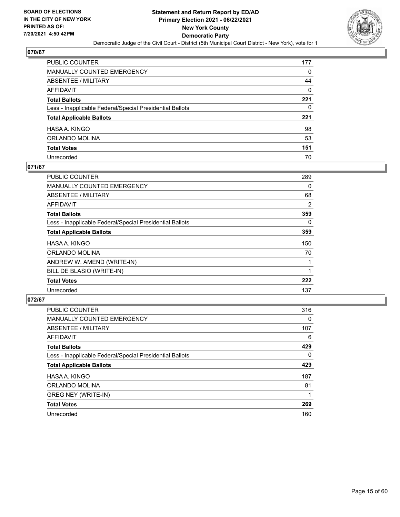

| PUBLIC COUNTER                                           | 177 |
|----------------------------------------------------------|-----|
| MANUALLY COUNTED EMERGENCY                               | 0   |
| ABSENTEE / MILITARY                                      | 44  |
| AFFIDAVIT                                                | 0   |
| <b>Total Ballots</b>                                     | 221 |
| Less - Inapplicable Federal/Special Presidential Ballots | 0   |
| <b>Total Applicable Ballots</b>                          | 221 |
| HASA A. KINGO                                            | 98  |
| ORLANDO MOLINA                                           | 53  |
| <b>Total Votes</b>                                       | 151 |
| Unrecorded                                               | 70  |

## **071/67**

| <b>PUBLIC COUNTER</b>                                    | 289 |
|----------------------------------------------------------|-----|
| <b>MANUALLY COUNTED EMERGENCY</b>                        | 0   |
| ABSENTEE / MILITARY                                      | 68  |
| AFFIDAVIT                                                | 2   |
| <b>Total Ballots</b>                                     | 359 |
| Less - Inapplicable Federal/Special Presidential Ballots | 0   |
| <b>Total Applicable Ballots</b>                          | 359 |
| HASA A. KINGO                                            | 150 |
| ORLANDO MOLINA                                           | 70  |
| ANDREW W. AMEND (WRITE-IN)                               |     |
| BILL DE BLASIO (WRITE-IN)                                |     |
| <b>Total Votes</b>                                       | 222 |
| Unrecorded                                               | 137 |

| PUBLIC COUNTER                                           | 316      |
|----------------------------------------------------------|----------|
| <b>MANUALLY COUNTED EMERGENCY</b>                        | 0        |
| ABSENTEE / MILITARY                                      | 107      |
| <b>AFFIDAVIT</b>                                         | 6        |
| <b>Total Ballots</b>                                     | 429      |
| Less - Inapplicable Federal/Special Presidential Ballots | $\Omega$ |
| <b>Total Applicable Ballots</b>                          | 429      |
| HASA A. KINGO                                            | 187      |
| ORLANDO MOLINA                                           | 81       |
| GREG NEY (WRITE-IN)                                      |          |
| <b>Total Votes</b>                                       | 269      |
| Unrecorded                                               | 160      |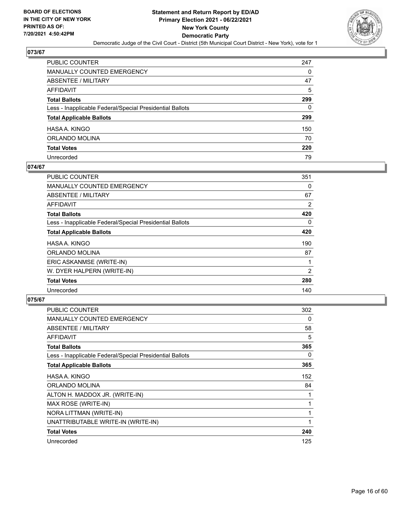

| PUBLIC COUNTER                                           | 247 |
|----------------------------------------------------------|-----|
| MANUALLY COUNTED EMERGENCY                               | 0   |
| ABSENTEE / MILITARY                                      | 47  |
| AFFIDAVIT                                                | 5   |
| Total Ballots                                            | 299 |
| Less - Inapplicable Federal/Special Presidential Ballots | 0   |
| <b>Total Applicable Ballots</b>                          | 299 |
| HASA A. KINGO                                            | 150 |
| ORLANDO MOLINA                                           | 70  |
| <b>Total Votes</b>                                       | 220 |
| Unrecorded                                               | 79  |

## **074/67**

| PUBLIC COUNTER                                           | 351 |
|----------------------------------------------------------|-----|
| <b>MANUALLY COUNTED EMERGENCY</b>                        | 0   |
| ABSENTEE / MILITARY                                      | 67  |
| AFFIDAVIT                                                | 2   |
| <b>Total Ballots</b>                                     | 420 |
| Less - Inapplicable Federal/Special Presidential Ballots | 0   |
| <b>Total Applicable Ballots</b>                          | 420 |
| HASA A. KINGO                                            | 190 |
| ORLANDO MOLINA                                           | 87  |
| ERIC ASKANMSE (WRITE-IN)                                 |     |
| W. DYER HALPERN (WRITE-IN)                               | 2   |
| <b>Total Votes</b>                                       | 280 |
| Unrecorded                                               | 140 |

| <b>PUBLIC COUNTER</b>                                    | 302 |
|----------------------------------------------------------|-----|
| <b>MANUALLY COUNTED EMERGENCY</b>                        | 0   |
| ABSENTEE / MILITARY                                      | 58  |
| <b>AFFIDAVIT</b>                                         | 5   |
| <b>Total Ballots</b>                                     | 365 |
| Less - Inapplicable Federal/Special Presidential Ballots | 0   |
| <b>Total Applicable Ballots</b>                          | 365 |
| HASA A. KINGO                                            | 152 |
| ORLANDO MOLINA                                           | 84  |
| ALTON H. MADDOX JR. (WRITE-IN)                           | 1   |
| MAX ROSE (WRITE-IN)                                      | 1   |
| NORA LITTMAN (WRITE-IN)                                  | 1   |
| UNATTRIBUTABLE WRITE-IN (WRITE-IN)                       | 1   |
| <b>Total Votes</b>                                       | 240 |
| Unrecorded                                               | 125 |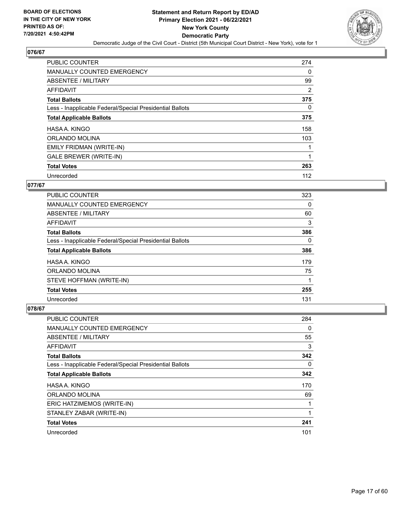

| <b>PUBLIC COUNTER</b>                                    | 274      |
|----------------------------------------------------------|----------|
| MANUALLY COUNTED EMERGENCY                               | 0        |
| ABSENTEE / MILITARY                                      | 99       |
| <b>AFFIDAVIT</b>                                         | 2        |
| <b>Total Ballots</b>                                     | 375      |
| Less - Inapplicable Federal/Special Presidential Ballots | $\Omega$ |
| <b>Total Applicable Ballots</b>                          | 375      |
| HASA A. KINGO                                            | 158      |
| ORLANDO MOLINA                                           | 103      |
| <b>EMILY FRIDMAN (WRITE-IN)</b>                          |          |
| <b>GALE BREWER (WRITE-IN)</b>                            |          |
| <b>Total Votes</b>                                       | 263      |
| Unrecorded                                               | 112      |

## **077/67**

| <b>PUBLIC COUNTER</b>                                    | 323 |
|----------------------------------------------------------|-----|
| <b>MANUALLY COUNTED EMERGENCY</b>                        | 0   |
| ABSENTEE / MILITARY                                      | 60  |
| AFFIDAVIT                                                | 3   |
| <b>Total Ballots</b>                                     | 386 |
| Less - Inapplicable Federal/Special Presidential Ballots | 0   |
| <b>Total Applicable Ballots</b>                          | 386 |
| HASA A. KINGO                                            | 179 |
| ORLANDO MOLINA                                           | 75  |
| STEVE HOFFMAN (WRITE-IN)                                 |     |
| <b>Total Votes</b>                                       | 255 |
| Unrecorded                                               | 131 |

| PUBLIC COUNTER                                           | 284      |
|----------------------------------------------------------|----------|
| MANUALLY COUNTED EMERGENCY                               | $\Omega$ |
| ABSENTEE / MILITARY                                      | 55       |
| AFFIDAVIT                                                | 3        |
| <b>Total Ballots</b>                                     | 342      |
| Less - Inapplicable Federal/Special Presidential Ballots | $\Omega$ |
| <b>Total Applicable Ballots</b>                          | 342      |
| HASA A. KINGO                                            | 170      |
| ORLANDO MOLINA                                           | 69       |
| ERIC HATZIMEMOS (WRITE-IN)                               | 1        |
| STANLEY ZABAR (WRITE-IN)                                 | 1        |
| <b>Total Votes</b>                                       | 241      |
| Unrecorded                                               | 101      |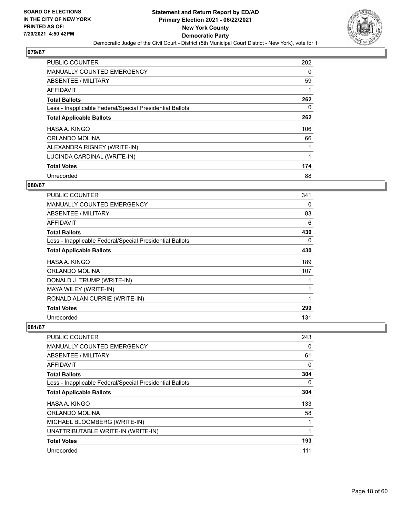

| PUBLIC COUNTER                                           | 202      |
|----------------------------------------------------------|----------|
| <b>MANUALLY COUNTED EMERGENCY</b>                        | $\Omega$ |
| ABSENTEE / MILITARY                                      | 59       |
| <b>AFFIDAVIT</b>                                         |          |
| <b>Total Ballots</b>                                     | 262      |
| Less - Inapplicable Federal/Special Presidential Ballots | $\Omega$ |
| <b>Total Applicable Ballots</b>                          | 262      |
| HASA A. KINGO                                            | 106      |
| ORLANDO MOLINA                                           | 66       |
| ALEXANDRA RIGNEY (WRITE-IN)                              |          |
| LUCINDA CARDINAL (WRITE-IN)                              | 1        |
| <b>Total Votes</b>                                       | 174      |
| Unrecorded                                               | 88       |

## **080/67**

| PUBLIC COUNTER                                           | 341          |
|----------------------------------------------------------|--------------|
| <b>MANUALLY COUNTED EMERGENCY</b>                        | 0            |
| ABSENTEE / MILITARY                                      | 83           |
| AFFIDAVIT                                                | 6            |
| <b>Total Ballots</b>                                     | 430          |
| Less - Inapplicable Federal/Special Presidential Ballots | 0            |
| <b>Total Applicable Ballots</b>                          | 430          |
| HASA A. KINGO                                            | 189          |
| ORLANDO MOLINA                                           | 107          |
| DONALD J. TRUMP (WRITE-IN)                               |              |
| MAYA WILEY (WRITE-IN)                                    | $\mathbf{1}$ |
| RONALD ALAN CURRIE (WRITE-IN)                            | 1            |
| <b>Total Votes</b>                                       | 299          |
| Unrecorded                                               | 131          |

| <b>PUBLIC COUNTER</b>                                    | 243 |
|----------------------------------------------------------|-----|
| MANUALLY COUNTED EMERGENCY                               | 0   |
| ABSENTEE / MILITARY                                      | 61  |
| <b>AFFIDAVIT</b>                                         | 0   |
| <b>Total Ballots</b>                                     | 304 |
| Less - Inapplicable Federal/Special Presidential Ballots | 0   |
| <b>Total Applicable Ballots</b>                          | 304 |
| HASA A. KINGO                                            | 133 |
| ORLANDO MOLINA                                           | 58  |
| MICHAEL BLOOMBERG (WRITE-IN)                             |     |
| UNATTRIBUTABLE WRITE-IN (WRITE-IN)                       |     |
| <b>Total Votes</b>                                       | 193 |
| Unrecorded                                               | 111 |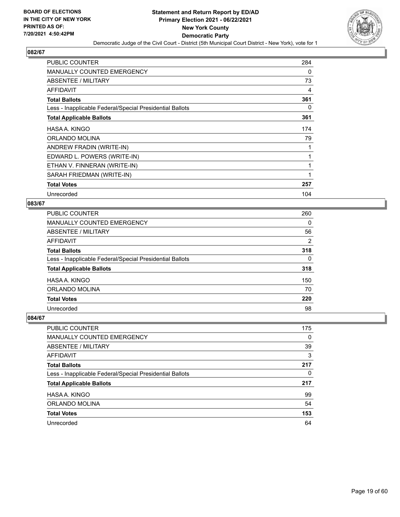

| <b>PUBLIC COUNTER</b>                                    | 284 |
|----------------------------------------------------------|-----|
| <b>MANUALLY COUNTED EMERGENCY</b>                        | 0   |
| ABSENTEE / MILITARY                                      | 73  |
| AFFIDAVIT                                                | 4   |
| <b>Total Ballots</b>                                     | 361 |
| Less - Inapplicable Federal/Special Presidential Ballots | 0   |
| <b>Total Applicable Ballots</b>                          | 361 |
| HASA A. KINGO                                            | 174 |
| ORLANDO MOLINA                                           | 79  |
| ANDREW FRADIN (WRITE-IN)                                 | 1   |
| EDWARD L. POWERS (WRITE-IN)                              |     |
| ETHAN V. FINNERAN (WRITE-IN)                             |     |
| SARAH FRIEDMAN (WRITE-IN)                                |     |
| <b>Total Votes</b>                                       | 257 |
| Unrecorded                                               | 104 |

#### **083/67**

| PUBLIC COUNTER                                           | 260            |
|----------------------------------------------------------|----------------|
| <b>MANUALLY COUNTED EMERGENCY</b>                        | $\Omega$       |
| ABSENTEE / MILITARY                                      | 56             |
| AFFIDAVIT                                                | $\overline{2}$ |
| <b>Total Ballots</b>                                     | 318            |
| Less - Inapplicable Federal/Special Presidential Ballots | $\Omega$       |
| <b>Total Applicable Ballots</b>                          | 318            |
| HASA A. KINGO                                            | 150            |
| ORLANDO MOLINA                                           | 70             |
| <b>Total Votes</b>                                       | 220            |
| Unrecorded                                               | 98             |

| <b>PUBLIC COUNTER</b>                                    | 175 |
|----------------------------------------------------------|-----|
| MANUALLY COUNTED EMERGENCY                               | 0   |
| ABSENTEE / MILITARY                                      | 39  |
| AFFIDAVIT                                                | 3   |
| <b>Total Ballots</b>                                     | 217 |
| Less - Inapplicable Federal/Special Presidential Ballots | 0   |
| <b>Total Applicable Ballots</b>                          | 217 |
| HASA A. KINGO                                            | 99  |
| ORLANDO MOLINA                                           | 54  |
| <b>Total Votes</b>                                       | 153 |
| Unrecorded                                               | 64  |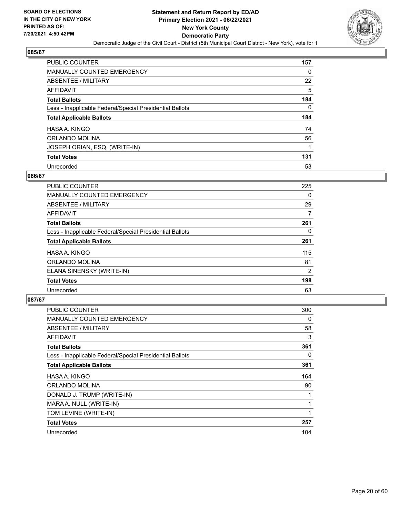

| PUBLIC COUNTER                                           | 157      |
|----------------------------------------------------------|----------|
| <b>MANUALLY COUNTED EMERGENCY</b>                        | 0        |
| ABSENTEE / MILITARY                                      | 22       |
| AFFIDAVIT                                                | 5        |
| <b>Total Ballots</b>                                     | 184      |
| Less - Inapplicable Federal/Special Presidential Ballots | $\Omega$ |
| <b>Total Applicable Ballots</b>                          | 184      |
| HASA A. KINGO                                            | 74       |
| ORLANDO MOLINA                                           | 56       |
| JOSEPH ORIAN, ESQ. (WRITE-IN)                            |          |
| <b>Total Votes</b>                                       | 131      |
|                                                          |          |

### **086/67**

| <b>PUBLIC COUNTER</b>                                    | 225            |
|----------------------------------------------------------|----------------|
| <b>MANUALLY COUNTED EMERGENCY</b>                        | 0              |
| ABSENTEE / MILITARY                                      | 29             |
| <b>AFFIDAVIT</b>                                         | 7              |
| <b>Total Ballots</b>                                     | 261            |
| Less - Inapplicable Federal/Special Presidential Ballots | $\Omega$       |
| <b>Total Applicable Ballots</b>                          | 261            |
| HASA A. KINGO                                            | 115            |
| ORLANDO MOLINA                                           | 81             |
| ELANA SINENSKY (WRITE-IN)                                | $\overline{2}$ |
| <b>Total Votes</b>                                       | 198            |
| Unrecorded                                               | 63             |

| PUBLIC COUNTER                                           | 300 |
|----------------------------------------------------------|-----|
| <b>MANUALLY COUNTED EMERGENCY</b>                        | 0   |
| ABSENTEE / MILITARY                                      | 58  |
| AFFIDAVIT                                                | 3   |
| <b>Total Ballots</b>                                     | 361 |
| Less - Inapplicable Federal/Special Presidential Ballots | 0   |
| <b>Total Applicable Ballots</b>                          | 361 |
| HASA A. KINGO                                            | 164 |
| ORLANDO MOLINA                                           | 90  |
| DONALD J. TRUMP (WRITE-IN)                               |     |
| MARA A. NULL (WRITE-IN)                                  |     |
| TOM LEVINE (WRITE-IN)                                    |     |
| <b>Total Votes</b>                                       | 257 |
| Unrecorded                                               | 104 |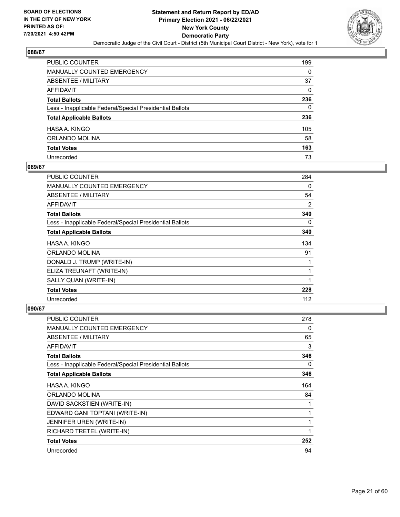

| PUBLIC COUNTER                                           | 199 |
|----------------------------------------------------------|-----|
| MANUALLY COUNTED EMERGENCY                               | 0   |
| ABSENTEE / MILITARY                                      | 37  |
| AFFIDAVIT                                                | 0   |
| Total Ballots                                            | 236 |
| Less - Inapplicable Federal/Special Presidential Ballots | 0   |
| <b>Total Applicable Ballots</b>                          | 236 |
| HASA A. KINGO                                            | 105 |
| ORLANDO MOLINA                                           | 58  |
| <b>Total Votes</b>                                       | 163 |
| Unrecorded                                               | 73  |

#### **089/67**

| PUBLIC COUNTER                                           | 284 |
|----------------------------------------------------------|-----|
| <b>MANUALLY COUNTED EMERGENCY</b>                        | 0   |
| ABSENTEE / MILITARY                                      | 54  |
| <b>AFFIDAVIT</b>                                         | 2   |
| <b>Total Ballots</b>                                     | 340 |
| Less - Inapplicable Federal/Special Presidential Ballots | 0   |
| <b>Total Applicable Ballots</b>                          | 340 |
| HASA A. KINGO                                            | 134 |
| ORLANDO MOLINA                                           | 91  |
| DONALD J. TRUMP (WRITE-IN)                               |     |
| ELIZA TREUNAFT (WRITE-IN)                                |     |
| SALLY QUAN (WRITE-IN)                                    |     |
| <b>Total Votes</b>                                       | 228 |
| Unrecorded                                               | 112 |

| <b>PUBLIC COUNTER</b>                                    | 278          |
|----------------------------------------------------------|--------------|
| <b>MANUALLY COUNTED EMERGENCY</b>                        | 0            |
| ABSENTEE / MILITARY                                      | 65           |
| <b>AFFIDAVIT</b>                                         | 3            |
| <b>Total Ballots</b>                                     | 346          |
| Less - Inapplicable Federal/Special Presidential Ballots | 0            |
| <b>Total Applicable Ballots</b>                          | 346          |
| HASA A. KINGO                                            | 164          |
| ORLANDO MOLINA                                           | 84           |
| DAVID SACKSTIEN (WRITE-IN)                               |              |
| EDWARD GANI TOPTANI (WRITE-IN)                           |              |
| JENNIFER UREN (WRITE-IN)                                 | 1            |
| RICHARD TRETEL (WRITE-IN)                                | $\mathbf{1}$ |
| <b>Total Votes</b>                                       | 252          |
| Unrecorded                                               | 94           |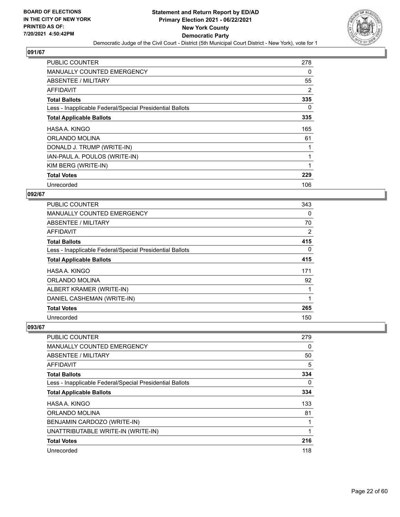

| <b>PUBLIC COUNTER</b>                                    | 278 |
|----------------------------------------------------------|-----|
| <b>MANUALLY COUNTED EMERGENCY</b>                        | 0   |
| ABSENTEE / MILITARY                                      | 55  |
| <b>AFFIDAVIT</b>                                         | 2   |
| <b>Total Ballots</b>                                     | 335 |
| Less - Inapplicable Federal/Special Presidential Ballots | 0   |
| <b>Total Applicable Ballots</b>                          | 335 |
| HASA A. KINGO                                            | 165 |
| ORLANDO MOLINA                                           | 61  |
| DONALD J. TRUMP (WRITE-IN)                               |     |
| IAN-PAUL A. POULOS (WRITE-IN)                            | 1   |
| KIM BERG (WRITE-IN)                                      |     |
| <b>Total Votes</b>                                       | 229 |
| Unrecorded                                               | 106 |

## **092/67**

| PUBLIC COUNTER                                           | 343      |
|----------------------------------------------------------|----------|
| <b>MANUALLY COUNTED EMERGENCY</b>                        | 0        |
| ABSENTEE / MILITARY                                      | 70       |
| AFFIDAVIT                                                | 2        |
| <b>Total Ballots</b>                                     | 415      |
| Less - Inapplicable Federal/Special Presidential Ballots | $\Omega$ |
| <b>Total Applicable Ballots</b>                          | 415      |
| HASA A. KINGO                                            | 171      |
| ORLANDO MOLINA                                           | 92       |
| ALBERT KRAMER (WRITE-IN)                                 |          |
| DANIEL CASHEMAN (WRITE-IN)                               |          |
| <b>Total Votes</b>                                       | 265      |
| Unrecorded                                               | 150      |

| PUBLIC COUNTER                                           | 279 |
|----------------------------------------------------------|-----|
| <b>MANUALLY COUNTED EMERGENCY</b>                        | 0   |
| ABSENTEE / MILITARY                                      | 50  |
| <b>AFFIDAVIT</b>                                         | 5   |
| <b>Total Ballots</b>                                     | 334 |
| Less - Inapplicable Federal/Special Presidential Ballots | 0   |
| <b>Total Applicable Ballots</b>                          | 334 |
| HASA A. KINGO                                            | 133 |
| ORLANDO MOLINA                                           | 81  |
| BENJAMIN CARDOZO (WRITE-IN)                              |     |
| UNATTRIBUTABLE WRITE-IN (WRITE-IN)                       |     |
| <b>Total Votes</b>                                       | 216 |
| Unrecorded                                               | 118 |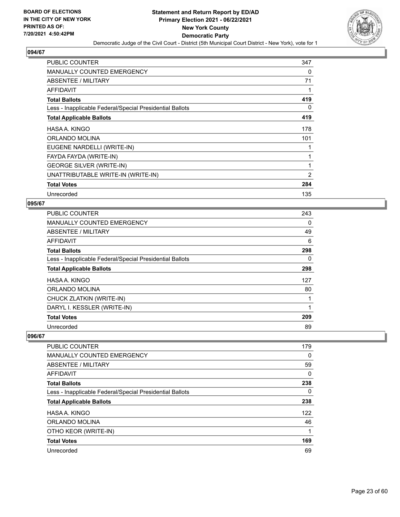

| <b>PUBLIC COUNTER</b>                                    | 347            |
|----------------------------------------------------------|----------------|
| <b>MANUALLY COUNTED EMERGENCY</b>                        | 0              |
| <b>ABSENTEE / MILITARY</b>                               | 71             |
| AFFIDAVIT                                                |                |
| <b>Total Ballots</b>                                     | 419            |
| Less - Inapplicable Federal/Special Presidential Ballots | 0              |
| <b>Total Applicable Ballots</b>                          | 419            |
| HASA A. KINGO                                            | 178            |
| ORLANDO MOLINA                                           | 101            |
| EUGENE NARDELLI (WRITE-IN)                               |                |
| FAYDA FAYDA (WRITE-IN)                                   |                |
| <b>GEORGE SILVER (WRITE-IN)</b>                          | 1              |
| UNATTRIBUTABLE WRITE-IN (WRITE-IN)                       | $\overline{2}$ |
| <b>Total Votes</b>                                       | 284            |
| Unrecorded                                               | 135            |

#### **095/67**

| <b>PUBLIC COUNTER</b>                                    | 243 |
|----------------------------------------------------------|-----|
| MANUALLY COUNTED EMERGENCY                               | 0   |
| <b>ABSENTEE / MILITARY</b>                               | 49  |
| AFFIDAVIT                                                | 6   |
| <b>Total Ballots</b>                                     | 298 |
| Less - Inapplicable Federal/Special Presidential Ballots | 0   |
| <b>Total Applicable Ballots</b>                          | 298 |
| HASA A. KINGO                                            | 127 |
| ORLANDO MOLINA                                           | 80  |
| CHUCK ZLATKIN (WRITE-IN)                                 | 1   |
| DARYL I. KESSLER (WRITE-IN)                              | 1   |
| <b>Total Votes</b>                                       | 209 |
| Unrecorded                                               | 89  |

| <b>PUBLIC COUNTER</b>                                    | 179 |
|----------------------------------------------------------|-----|
| <b>MANUALLY COUNTED EMERGENCY</b>                        | 0   |
| ABSENTEE / MILITARY                                      | 59  |
| AFFIDAVIT                                                | 0   |
| <b>Total Ballots</b>                                     | 238 |
| Less - Inapplicable Federal/Special Presidential Ballots | 0   |
| <b>Total Applicable Ballots</b>                          | 238 |
| HASA A. KINGO                                            | 122 |
| ORLANDO MOLINA                                           | 46  |
| OTHO KEOR (WRITE-IN)                                     |     |
| <b>Total Votes</b>                                       | 169 |
| Unrecorded                                               | 69  |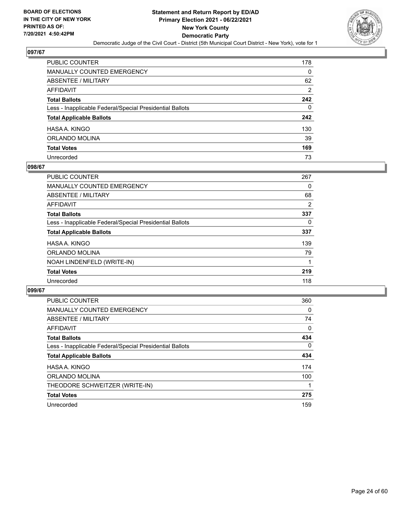

| PUBLIC COUNTER                                           | 178            |
|----------------------------------------------------------|----------------|
| MANUALLY COUNTED EMERGENCY                               | 0              |
| ABSENTEE / MILITARY                                      | 62             |
| AFFIDAVIT                                                | $\overline{2}$ |
| Total Ballots                                            | 242            |
| Less - Inapplicable Federal/Special Presidential Ballots | 0              |
| <b>Total Applicable Ballots</b>                          | 242            |
| HASA A. KINGO                                            | 130            |
| ORLANDO MOLINA                                           | 39             |
| <b>Total Votes</b>                                       | 169            |
| Unrecorded                                               | 73             |

## **098/67**

| <b>PUBLIC COUNTER</b>                                    | 267 |
|----------------------------------------------------------|-----|
| <b>MANUALLY COUNTED EMERGENCY</b>                        | 0   |
| ABSENTEE / MILITARY                                      | 68  |
| AFFIDAVIT                                                | 2   |
| <b>Total Ballots</b>                                     | 337 |
| Less - Inapplicable Federal/Special Presidential Ballots | 0   |
| <b>Total Applicable Ballots</b>                          | 337 |
| HASA A. KINGO                                            | 139 |
| ORLANDO MOLINA                                           | 79  |
| NOAH LINDENFELD (WRITE-IN)                               |     |
| <b>Total Votes</b>                                       | 219 |
| Unrecorded                                               | 118 |

| <b>PUBLIC COUNTER</b>                                    | 360      |
|----------------------------------------------------------|----------|
| <b>MANUALLY COUNTED EMERGENCY</b>                        | $\Omega$ |
| ABSENTEE / MILITARY                                      | 74       |
| AFFIDAVIT                                                | 0        |
| <b>Total Ballots</b>                                     | 434      |
| Less - Inapplicable Federal/Special Presidential Ballots | $\Omega$ |
| <b>Total Applicable Ballots</b>                          | 434      |
| HASA A. KINGO                                            | 174      |
| ORLANDO MOLINA                                           | 100      |
| THEODORE SCHWEITZER (WRITE-IN)                           |          |
| <b>Total Votes</b>                                       | 275      |
| Unrecorded                                               | 159      |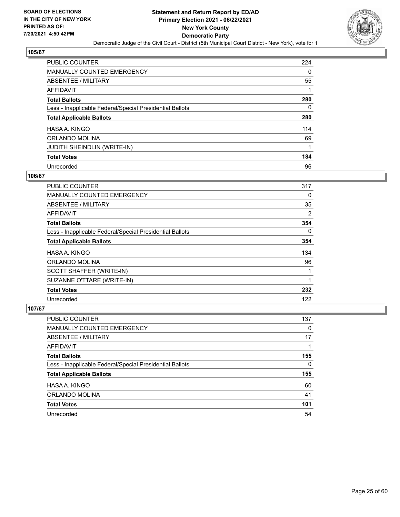

| PUBLIC COUNTER                                           | 224 |
|----------------------------------------------------------|-----|
| <b>MANUALLY COUNTED EMERGENCY</b>                        | 0   |
| ABSENTEE / MILITARY                                      | 55  |
| AFFIDAVIT                                                |     |
| <b>Total Ballots</b>                                     | 280 |
| Less - Inapplicable Federal/Special Presidential Ballots | 0   |
| <b>Total Applicable Ballots</b>                          | 280 |
| HASA A. KINGO                                            | 114 |
| ORLANDO MOLINA                                           | 69  |
| <b>JUDITH SHEINDLIN (WRITE-IN)</b>                       |     |
| <b>Total Votes</b>                                       | 184 |
| Unrecorded                                               | 96  |

### **106/67**

| <b>PUBLIC COUNTER</b>                                    | 317      |
|----------------------------------------------------------|----------|
| <b>MANUALLY COUNTED EMERGENCY</b>                        | 0        |
| <b>ABSENTEE / MILITARY</b>                               | 35       |
| <b>AFFIDAVIT</b>                                         | 2        |
| <b>Total Ballots</b>                                     | 354      |
| Less - Inapplicable Federal/Special Presidential Ballots | $\Omega$ |
| <b>Total Applicable Ballots</b>                          | 354      |
| HASA A. KINGO                                            | 134      |
| ORLANDO MOLINA                                           | 96       |
| SCOTT SHAFFER (WRITE-IN)                                 |          |
| SUZANNE O'TTARE (WRITE-IN)                               | 1        |
| <b>Total Votes</b>                                       | 232      |
| Unrecorded                                               | 122      |

| PUBLIC COUNTER                                           | 137      |
|----------------------------------------------------------|----------|
| MANUALLY COUNTED EMERGENCY                               | $\Omega$ |
| ABSENTEE / MILITARY                                      | 17       |
| AFFIDAVIT                                                |          |
| <b>Total Ballots</b>                                     | 155      |
| Less - Inapplicable Federal/Special Presidential Ballots | 0        |
| <b>Total Applicable Ballots</b>                          | 155      |
| HASA A. KINGO                                            | 60       |
| ORLANDO MOLINA                                           | 41       |
| <b>Total Votes</b>                                       | 101      |
| Unrecorded                                               | 54       |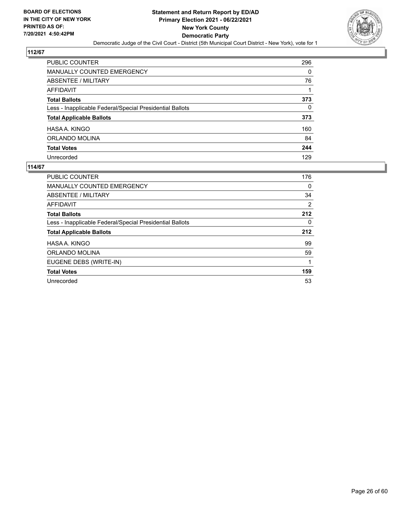

| PUBLIC COUNTER                                           | 296      |
|----------------------------------------------------------|----------|
| <b>MANUALLY COUNTED EMERGENCY</b>                        | $\Omega$ |
| <b>ABSENTEE / MILITARY</b>                               | 76       |
| <b>AFFIDAVIT</b>                                         |          |
| <b>Total Ballots</b>                                     | 373      |
| Less - Inapplicable Federal/Special Presidential Ballots | 0        |
| <b>Total Applicable Ballots</b>                          | 373      |
| HASA A. KINGO                                            | 160      |
| ORLANDO MOLINA                                           | 84       |
| <b>Total Votes</b>                                       | 244      |
| Unrecorded                                               | 129      |

| PUBLIC COUNTER                                           | 176            |
|----------------------------------------------------------|----------------|
| <b>MANUALLY COUNTED EMERGENCY</b>                        | 0              |
| ABSENTEE / MILITARY                                      | 34             |
| AFFIDAVIT                                                | $\overline{2}$ |
| <b>Total Ballots</b>                                     | 212            |
| Less - Inapplicable Federal/Special Presidential Ballots | 0              |
| <b>Total Applicable Ballots</b>                          | 212            |
| HASA A. KINGO                                            | 99             |
| ORLANDO MOLINA                                           | 59             |
| EUGENE DEBS (WRITE-IN)                                   |                |
| <b>Total Votes</b>                                       | 159            |
| Unrecorded                                               | 53             |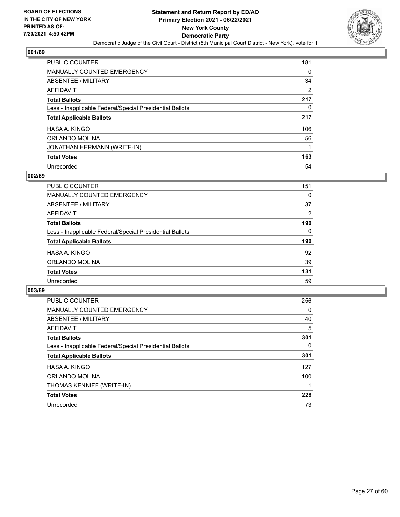

| PUBLIC COUNTER                                           | 181 |
|----------------------------------------------------------|-----|
| <b>MANUALLY COUNTED EMERGENCY</b>                        | 0   |
| ABSENTEE / MILITARY                                      | 34  |
| AFFIDAVIT                                                | 2   |
| <b>Total Ballots</b>                                     | 217 |
| Less - Inapplicable Federal/Special Presidential Ballots | 0   |
| <b>Total Applicable Ballots</b>                          | 217 |
| HASA A. KINGO                                            | 106 |
| ORLANDO MOLINA                                           | 56  |
| JONATHAN HERMANN (WRITE-IN)                              |     |
| <b>Total Votes</b>                                       | 163 |
| Unrecorded                                               | 54  |

#### **002/69**

| PUBLIC COUNTER                                           | 151      |
|----------------------------------------------------------|----------|
| <b>MANUALLY COUNTED EMERGENCY</b>                        | 0        |
| ABSENTEE / MILITARY                                      | 37       |
| AFFIDAVIT                                                | 2        |
| <b>Total Ballots</b>                                     | 190      |
| Less - Inapplicable Federal/Special Presidential Ballots | $\Omega$ |
| <b>Total Applicable Ballots</b>                          | 190      |
| HASA A. KINGO                                            | 92       |
| ORLANDO MOLINA                                           | 39       |
| <b>Total Votes</b>                                       | 131      |
| Unrecorded                                               | 59       |

| <b>PUBLIC COUNTER</b>                                    | 256      |
|----------------------------------------------------------|----------|
| <b>MANUALLY COUNTED EMERGENCY</b>                        | 0        |
| ABSENTEE / MILITARY                                      | 40       |
| AFFIDAVIT                                                | 5        |
| <b>Total Ballots</b>                                     | 301      |
| Less - Inapplicable Federal/Special Presidential Ballots | $\Omega$ |
| <b>Total Applicable Ballots</b>                          | 301      |
| HASA A. KINGO                                            | 127      |
| ORLANDO MOLINA                                           | 100      |
| THOMAS KENNIFF (WRITE-IN)                                |          |
| <b>Total Votes</b>                                       | 228      |
| Unrecorded                                               | 73       |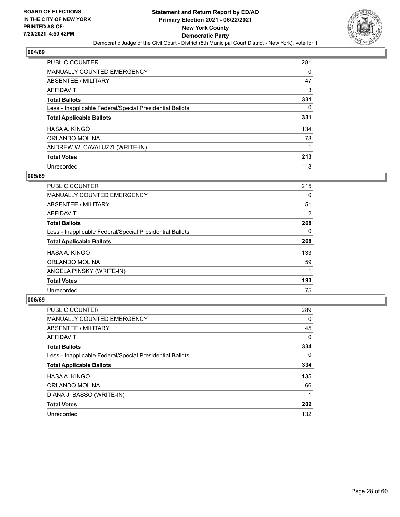

| PUBLIC COUNTER                                           | 281 |
|----------------------------------------------------------|-----|
| <b>MANUALLY COUNTED EMERGENCY</b>                        | 0   |
| <b>ABSENTEE / MILITARY</b>                               | 47  |
| AFFIDAVIT                                                | 3   |
| <b>Total Ballots</b>                                     | 331 |
| Less - Inapplicable Federal/Special Presidential Ballots | 0   |
| <b>Total Applicable Ballots</b>                          | 331 |
| HASA A. KINGO                                            | 134 |
| ORLANDO MOLINA                                           | 78  |
| ANDREW W. CAVALUZZI (WRITE-IN)                           | 1   |
| <b>Total Votes</b>                                       | 213 |
| Unrecorded                                               | 118 |

#### **005/69**

| <b>PUBLIC COUNTER</b>                                    | 215      |
|----------------------------------------------------------|----------|
| <b>MANUALLY COUNTED EMERGENCY</b>                        | 0        |
| ABSENTEE / MILITARY                                      | 51       |
| <b>AFFIDAVIT</b>                                         | 2        |
| <b>Total Ballots</b>                                     | 268      |
| Less - Inapplicable Federal/Special Presidential Ballots | $\Omega$ |
| <b>Total Applicable Ballots</b>                          | 268      |
| HASA A. KINGO                                            | 133      |
| ORLANDO MOLINA                                           | 59       |
| ANGELA PINSKY (WRITE-IN)                                 |          |
| <b>Total Votes</b>                                       | 193      |
| Unrecorded                                               | 75       |

| <b>PUBLIC COUNTER</b>                                    | 289      |
|----------------------------------------------------------|----------|
| <b>MANUALLY COUNTED EMERGENCY</b>                        | $\Omega$ |
| ABSENTEE / MILITARY                                      | 45       |
| AFFIDAVIT                                                | $\Omega$ |
| <b>Total Ballots</b>                                     | 334      |
| Less - Inapplicable Federal/Special Presidential Ballots | $\Omega$ |
| <b>Total Applicable Ballots</b>                          | 334      |
| HASA A. KINGO                                            | 135      |
| ORLANDO MOLINA                                           | 66       |
| DIANA J. BASSO (WRITE-IN)                                |          |
| <b>Total Votes</b>                                       | 202      |
| Unrecorded                                               | 132      |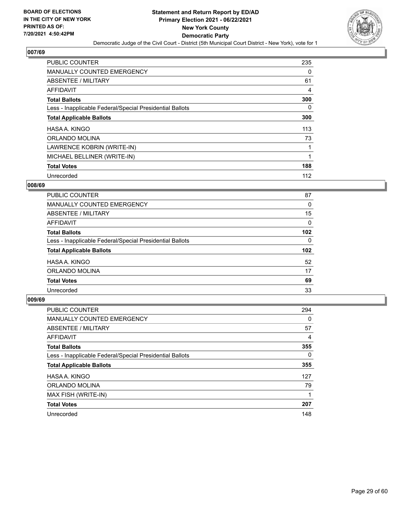

| PUBLIC COUNTER                                           | 235      |
|----------------------------------------------------------|----------|
| <b>MANUALLY COUNTED EMERGENCY</b>                        | 0        |
| <b>ABSENTEE / MILITARY</b>                               | 61       |
| <b>AFFIDAVIT</b>                                         | 4        |
| <b>Total Ballots</b>                                     | 300      |
| Less - Inapplicable Federal/Special Presidential Ballots | $\Omega$ |
| <b>Total Applicable Ballots</b>                          | 300      |
| HASA A. KINGO                                            | 113      |
| ORLANDO MOLINA                                           | 73       |
| LAWRENCE KOBRIN (WRITE-IN)                               |          |
| MICHAEL BELLINER (WRITE-IN)                              |          |
| <b>Total Votes</b>                                       | 188      |
| Unrecorded                                               | 112      |

## **008/69**

| PUBLIC COUNTER                                           | 87               |
|----------------------------------------------------------|------------------|
| <b>MANUALLY COUNTED EMERGENCY</b>                        | $\Omega$         |
| ABSENTEE / MILITARY                                      | 15               |
| <b>AFFIDAVIT</b>                                         | 0                |
| <b>Total Ballots</b>                                     | 102              |
| Less - Inapplicable Federal/Special Presidential Ballots | $\Omega$         |
| <b>Total Applicable Ballots</b>                          | 102 <sub>2</sub> |
| HASA A. KINGO                                            | 52               |
| ORLANDO MOLINA                                           | 17               |
| <b>Total Votes</b>                                       | 69               |
| Unrecorded                                               | 33               |

| <b>PUBLIC COUNTER</b>                                    | 294      |
|----------------------------------------------------------|----------|
| <b>MANUALLY COUNTED EMERGENCY</b>                        | 0        |
| ABSENTEE / MILITARY                                      | 57       |
| <b>AFFIDAVIT</b>                                         | 4        |
| <b>Total Ballots</b>                                     | 355      |
| Less - Inapplicable Federal/Special Presidential Ballots | $\Omega$ |
| <b>Total Applicable Ballots</b>                          | 355      |
| HASA A. KINGO                                            | 127      |
| ORLANDO MOLINA                                           | 79       |
| MAX FISH (WRITE-IN)                                      |          |
| <b>Total Votes</b>                                       | 207      |
| Unrecorded                                               | 148      |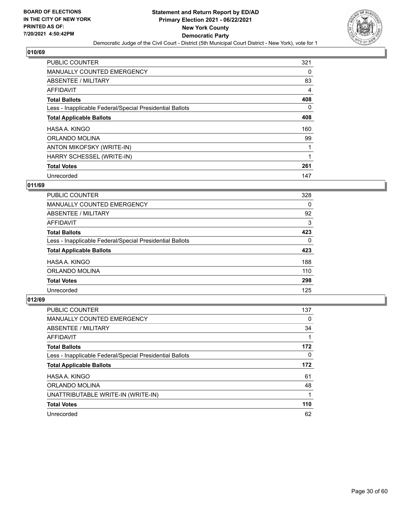

| PUBLIC COUNTER                                           | 321      |
|----------------------------------------------------------|----------|
| MANUALLY COUNTED EMERGENCY                               | 0        |
| ABSENTEE / MILITARY                                      | 83       |
| AFFIDAVIT                                                | 4        |
| <b>Total Ballots</b>                                     | 408      |
| Less - Inapplicable Federal/Special Presidential Ballots | $\Omega$ |
| <b>Total Applicable Ballots</b>                          | 408      |
| HASA A. KINGO                                            | 160      |
| ORLANDO MOLINA                                           | 99       |
| ANTON MIKOFSKY (WRITE-IN)                                |          |
| HARRY SCHESSEL (WRITE-IN)                                |          |
| <b>Total Votes</b>                                       | 261      |
| Unrecorded                                               | 147      |

## **011/69**

| <b>PUBLIC COUNTER</b>                                    | 328      |
|----------------------------------------------------------|----------|
| <b>MANUALLY COUNTED EMERGENCY</b>                        | $\Omega$ |
| ABSENTEE / MILITARY                                      | 92       |
| <b>AFFIDAVIT</b>                                         | 3        |
| <b>Total Ballots</b>                                     | 423      |
| Less - Inapplicable Federal/Special Presidential Ballots | 0        |
| <b>Total Applicable Ballots</b>                          | 423      |
| HASA A. KINGO                                            | 188      |
| ORLANDO MOLINA                                           | 110      |
| <b>Total Votes</b>                                       | 298      |
| Unrecorded                                               | 125      |

| <b>PUBLIC COUNTER</b>                                    | 137      |
|----------------------------------------------------------|----------|
| <b>MANUALLY COUNTED EMERGENCY</b>                        | 0        |
| ABSENTEE / MILITARY                                      | 34       |
| <b>AFFIDAVIT</b>                                         |          |
| <b>Total Ballots</b>                                     | 172      |
| Less - Inapplicable Federal/Special Presidential Ballots | $\Omega$ |
| <b>Total Applicable Ballots</b>                          | 172      |
| HASA A. KINGO                                            | 61       |
| ORLANDO MOLINA                                           | 48       |
| UNATTRIBUTABLE WRITE-IN (WRITE-IN)                       |          |
| <b>Total Votes</b>                                       | 110      |
| Unrecorded                                               | 62       |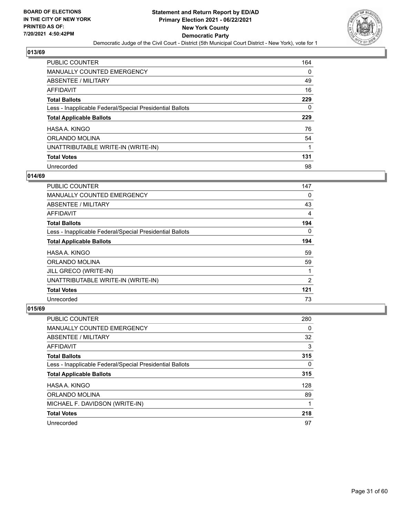

| <b>PUBLIC COUNTER</b>                                    | 164      |
|----------------------------------------------------------|----------|
| <b>MANUALLY COUNTED EMERGENCY</b>                        | $\Omega$ |
| ABSENTEE / MILITARY                                      | 49       |
| <b>AFFIDAVIT</b>                                         | 16       |
| <b>Total Ballots</b>                                     | 229      |
| Less - Inapplicable Federal/Special Presidential Ballots | 0        |
| <b>Total Applicable Ballots</b>                          | 229      |
| HASA A. KINGO                                            | 76       |
| ORLANDO MOLINA                                           | 54       |
| UNATTRIBUTABLE WRITE-IN (WRITE-IN)                       | 1        |
| <b>Total Votes</b>                                       | 131      |
| Unrecorded                                               | 98       |

### **014/69**

| PUBLIC COUNTER                                           | 147      |
|----------------------------------------------------------|----------|
| <b>MANUALLY COUNTED EMERGENCY</b>                        | 0        |
| ABSENTEE / MILITARY                                      | 43       |
| AFFIDAVIT                                                | 4        |
| <b>Total Ballots</b>                                     | 194      |
| Less - Inapplicable Federal/Special Presidential Ballots | $\Omega$ |
| <b>Total Applicable Ballots</b>                          | 194      |
| HASA A. KINGO                                            | 59       |
| ORLANDO MOLINA                                           | 59       |
| JILL GRECO (WRITE-IN)                                    |          |
| UNATTRIBUTABLE WRITE-IN (WRITE-IN)                       | 2        |
| <b>Total Votes</b>                                       | 121      |
| Unrecorded                                               | 73       |

| <b>PUBLIC COUNTER</b>                                    | 280      |
|----------------------------------------------------------|----------|
| <b>MANUALLY COUNTED EMERGENCY</b>                        | 0        |
| ABSENTEE / MILITARY                                      | 32       |
| AFFIDAVIT                                                | 3        |
| <b>Total Ballots</b>                                     | 315      |
| Less - Inapplicable Federal/Special Presidential Ballots | $\Omega$ |
| <b>Total Applicable Ballots</b>                          | 315      |
| HASA A. KINGO                                            | 128      |
| ORLANDO MOLINA                                           | 89       |
| MICHAEL F. DAVIDSON (WRITE-IN)                           |          |
| <b>Total Votes</b>                                       | 218      |
| Unrecorded                                               | 97       |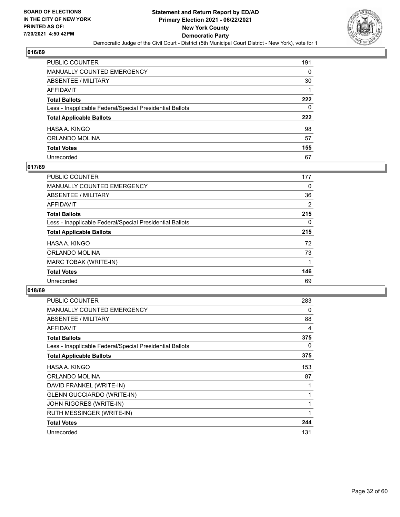

| PUBLIC COUNTER                                           | 191 |
|----------------------------------------------------------|-----|
| MANUALLY COUNTED EMERGENCY                               | 0   |
| ABSENTEE / MILITARY                                      | 30  |
| AFFIDAVIT                                                |     |
| <b>Total Ballots</b>                                     | 222 |
| Less - Inapplicable Federal/Special Presidential Ballots | 0   |
| <b>Total Applicable Ballots</b>                          | 222 |
| HASA A. KINGO                                            | 98  |
| ORLANDO MOLINA                                           | 57  |
| <b>Total Votes</b>                                       | 155 |
| Unrecorded                                               | 67  |

## **017/69**

| <b>PUBLIC COUNTER</b>                                    | 177      |
|----------------------------------------------------------|----------|
| <b>MANUALLY COUNTED EMERGENCY</b>                        | 0        |
| ABSENTEE / MILITARY                                      | 36       |
| AFFIDAVIT                                                | 2        |
| <b>Total Ballots</b>                                     | 215      |
| Less - Inapplicable Federal/Special Presidential Ballots | $\Omega$ |
| <b>Total Applicable Ballots</b>                          | 215      |
| HASA A. KINGO                                            | 72       |
| ORLANDO MOLINA                                           | 73       |
| MARC TOBAK (WRITE-IN)                                    |          |
| <b>Total Votes</b>                                       | 146      |
| Unrecorded                                               | 69       |

| <b>PUBLIC COUNTER</b>                                    | 283 |
|----------------------------------------------------------|-----|
| <b>MANUALLY COUNTED EMERGENCY</b>                        | 0   |
| ABSENTEE / MILITARY                                      | 88  |
| AFFIDAVIT                                                | 4   |
| <b>Total Ballots</b>                                     | 375 |
| Less - Inapplicable Federal/Special Presidential Ballots | 0   |
| <b>Total Applicable Ballots</b>                          | 375 |
| HASA A. KINGO                                            | 153 |
| ORLANDO MOLINA                                           | 87  |
| DAVID FRANKEL (WRITE-IN)                                 |     |
| <b>GLENN GUCCIARDO (WRITE-IN)</b>                        |     |
| JOHN RIGORES (WRITE-IN)                                  |     |
| RUTH MESSINGER (WRITE-IN)                                | 1   |
| <b>Total Votes</b>                                       | 244 |
| Unrecorded                                               | 131 |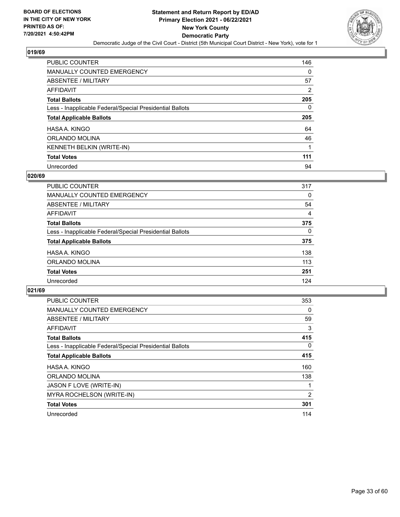

| PUBLIC COUNTER                                           | 146 |
|----------------------------------------------------------|-----|
| <b>MANUALLY COUNTED EMERGENCY</b>                        | 0   |
| ABSENTEE / MILITARY                                      | 57  |
| AFFIDAVIT                                                | 2   |
| <b>Total Ballots</b>                                     | 205 |
| Less - Inapplicable Federal/Special Presidential Ballots | 0   |
| <b>Total Applicable Ballots</b>                          | 205 |
|                                                          |     |
| HASA A. KINGO                                            | 64  |
| ORLANDO MOLINA                                           | 46  |
| KENNETH BELKIN (WRITE-IN)                                |     |
| <b>Total Votes</b>                                       | 111 |

#### **020/69**

| <b>PUBLIC COUNTER</b>                                    | 317      |
|----------------------------------------------------------|----------|
| <b>MANUALLY COUNTED EMERGENCY</b>                        | 0        |
| ABSENTEE / MILITARY                                      | 54       |
| <b>AFFIDAVIT</b>                                         | 4        |
| <b>Total Ballots</b>                                     | 375      |
| Less - Inapplicable Federal/Special Presidential Ballots | $\Omega$ |
| <b>Total Applicable Ballots</b>                          | 375      |
| HASA A. KINGO                                            | 138      |
| ORLANDO MOLINA                                           | 113      |
| <b>Total Votes</b>                                       | 251      |
| Unrecorded                                               | 124      |

| <b>PUBLIC COUNTER</b>                                    | 353            |
|----------------------------------------------------------|----------------|
| <b>MANUALLY COUNTED EMERGENCY</b>                        | 0              |
| ABSENTEE / MILITARY                                      | 59             |
| AFFIDAVIT                                                | 3              |
| <b>Total Ballots</b>                                     | 415            |
| Less - Inapplicable Federal/Special Presidential Ballots | 0              |
| <b>Total Applicable Ballots</b>                          | 415            |
| HASA A. KINGO                                            | 160            |
| ORLANDO MOLINA                                           | 138            |
| JASON F LOVE (WRITE-IN)                                  |                |
| MYRA ROCHELSON (WRITE-IN)                                | $\overline{2}$ |
| <b>Total Votes</b>                                       | 301            |
| Unrecorded                                               | 114            |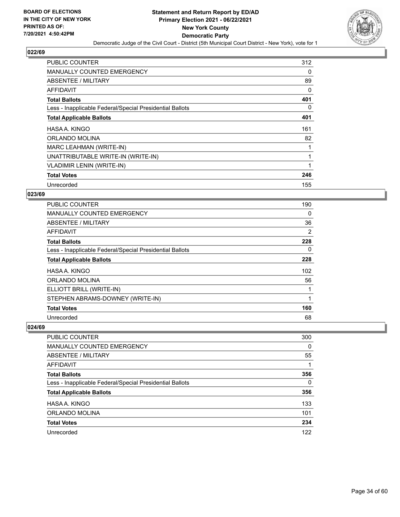

| <b>PUBLIC COUNTER</b>                                    | 312 |
|----------------------------------------------------------|-----|
| <b>MANUALLY COUNTED EMERGENCY</b>                        | 0   |
| ABSENTEE / MILITARY                                      | 89  |
| AFFIDAVIT                                                | 0   |
| <b>Total Ballots</b>                                     | 401 |
| Less - Inapplicable Federal/Special Presidential Ballots | 0   |
| <b>Total Applicable Ballots</b>                          | 401 |
| HASA A. KINGO                                            | 161 |
| ORLANDO MOLINA                                           | 82  |
| MARC LEAHMAN (WRITE-IN)                                  |     |
| UNATTRIBUTABLE WRITE-IN (WRITE-IN)                       | 1   |
| <b>VLADIMIR LENIN (WRITE-IN)</b>                         | 1   |
| <b>Total Votes</b>                                       | 246 |
| Unrecorded                                               | 155 |

## **023/69**

| <b>PUBLIC COUNTER</b>                                    | 190 |
|----------------------------------------------------------|-----|
| <b>MANUALLY COUNTED EMERGENCY</b>                        | 0   |
| ABSENTEE / MILITARY                                      | 36  |
| AFFIDAVIT                                                | 2   |
| <b>Total Ballots</b>                                     | 228 |
| Less - Inapplicable Federal/Special Presidential Ballots | 0   |
| <b>Total Applicable Ballots</b>                          | 228 |
| HASA A. KINGO                                            | 102 |
| ORLANDO MOLINA                                           | 56  |
| ELLIOTT BRILL (WRITE-IN)                                 |     |
| STEPHEN ABRAMS-DOWNEY (WRITE-IN)                         | 1   |
| <b>Total Votes</b>                                       | 160 |
| Unrecorded                                               | 68  |

| PUBLIC COUNTER                                           | 300      |
|----------------------------------------------------------|----------|
| MANUALLY COUNTED EMERGENCY                               | $\Omega$ |
| <b>ABSENTEE / MILITARY</b>                               | 55       |
| AFFIDAVIT                                                |          |
| <b>Total Ballots</b>                                     | 356      |
| Less - Inapplicable Federal/Special Presidential Ballots | 0        |
| <b>Total Applicable Ballots</b>                          | 356      |
| HASA A. KINGO                                            | 133      |
| ORLANDO MOLINA                                           | 101      |
| <b>Total Votes</b>                                       | 234      |
| Unrecorded                                               | 122      |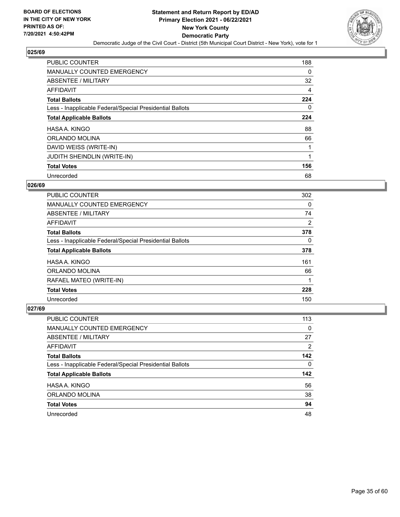

| PUBLIC COUNTER                                           | 188      |
|----------------------------------------------------------|----------|
| <b>MANUALLY COUNTED EMERGENCY</b>                        | $\Omega$ |
| ABSENTEE / MILITARY                                      | 32       |
| <b>AFFIDAVIT</b>                                         | 4        |
| <b>Total Ballots</b>                                     | 224      |
| Less - Inapplicable Federal/Special Presidential Ballots | $\Omega$ |
| <b>Total Applicable Ballots</b>                          | 224      |
| HASA A. KINGO                                            | 88       |
| ORLANDO MOLINA                                           | 66       |
| DAVID WEISS (WRITE-IN)                                   |          |
| JUDITH SHEINDLIN (WRITE-IN)                              |          |
| <b>Total Votes</b>                                       | 156      |
| Unrecorded                                               | 68       |

## **026/69**

| PUBLIC COUNTER                                           | 302 |
|----------------------------------------------------------|-----|
| MANUALLY COUNTED EMERGENCY                               | 0   |
| ABSENTEE / MILITARY                                      | 74  |
| AFFIDAVIT                                                | 2   |
| <b>Total Ballots</b>                                     | 378 |
| Less - Inapplicable Federal/Special Presidential Ballots | 0   |
| <b>Total Applicable Ballots</b>                          | 378 |
| HASA A. KINGO                                            | 161 |
| ORLANDO MOLINA                                           | 66  |
| RAFAEL MATEO (WRITE-IN)                                  |     |
| <b>Total Votes</b>                                       | 228 |
| Unrecorded                                               | 150 |

| <b>PUBLIC COUNTER</b>                                    | 113      |
|----------------------------------------------------------|----------|
| MANUALLY COUNTED EMERGENCY                               | $\Omega$ |
| ABSENTEE / MILITARY                                      | 27       |
| AFFIDAVIT                                                | 2        |
| <b>Total Ballots</b>                                     | 142      |
| Less - Inapplicable Federal/Special Presidential Ballots | $\Omega$ |
| <b>Total Applicable Ballots</b>                          | 142      |
| HASA A. KINGO                                            | 56       |
| ORLANDO MOLINA                                           | 38       |
| <b>Total Votes</b>                                       | 94       |
| Unrecorded                                               | 48       |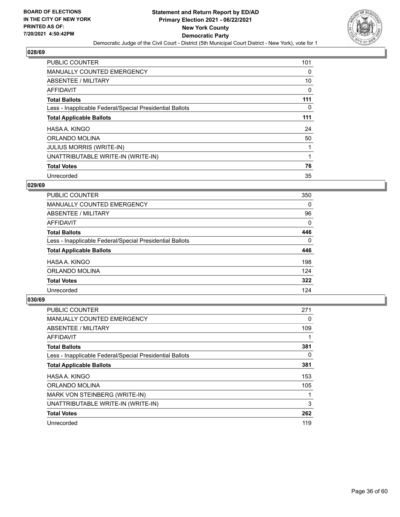

| <b>PUBLIC COUNTER</b>                                    | 101      |
|----------------------------------------------------------|----------|
| MANUALLY COUNTED EMERGENCY                               | 0        |
| ABSENTEE / MILITARY                                      | 10       |
| <b>AFFIDAVIT</b>                                         | 0        |
| <b>Total Ballots</b>                                     | 111      |
| Less - Inapplicable Federal/Special Presidential Ballots | $\Omega$ |
| <b>Total Applicable Ballots</b>                          | 111      |
| HASA A. KINGO                                            | 24       |
| ORLANDO MOLINA                                           | 50       |
| <b>JULIUS MORRIS (WRITE-IN)</b>                          |          |
| UNATTRIBUTABLE WRITE-IN (WRITE-IN)                       |          |
| <b>Total Votes</b>                                       | 76       |
| Unrecorded                                               | 35       |

## **029/69**

| <b>PUBLIC COUNTER</b>                                    | 350      |
|----------------------------------------------------------|----------|
| <b>MANUALLY COUNTED EMERGENCY</b>                        | $\Omega$ |
| ABSENTEE / MILITARY                                      | 96       |
| AFFIDAVIT                                                | 0        |
| <b>Total Ballots</b>                                     | 446      |
| Less - Inapplicable Federal/Special Presidential Ballots | $\Omega$ |
| <b>Total Applicable Ballots</b>                          | 446      |
| HASA A. KINGO                                            | 198      |
| ORLANDO MOLINA                                           | 124      |
| <b>Total Votes</b>                                       | 322      |
| Unrecorded                                               | 124      |

| <b>PUBLIC COUNTER</b>                                    | 271      |
|----------------------------------------------------------|----------|
| MANUALLY COUNTED EMERGENCY                               | 0        |
| ABSENTEE / MILITARY                                      | 109      |
| <b>AFFIDAVIT</b>                                         |          |
| <b>Total Ballots</b>                                     | 381      |
| Less - Inapplicable Federal/Special Presidential Ballots | $\Omega$ |
| <b>Total Applicable Ballots</b>                          | 381      |
| HASA A. KINGO                                            | 153      |
| ORLANDO MOLINA                                           | 105      |
| MARK VON STEINBERG (WRITE-IN)                            | 1        |
| UNATTRIBUTABLE WRITE-IN (WRITE-IN)                       | 3        |
| <b>Total Votes</b>                                       | 262      |
| Unrecorded                                               | 119      |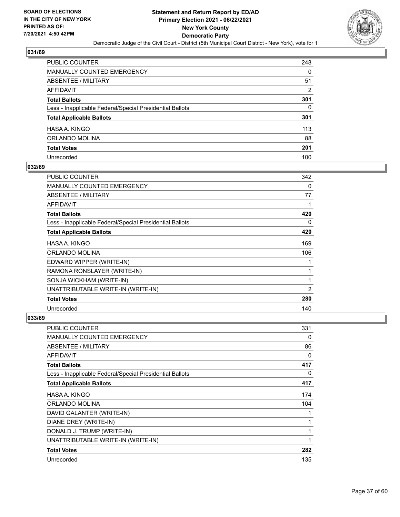

| PUBLIC COUNTER                                           | 248            |
|----------------------------------------------------------|----------------|
| MANUALLY COUNTED EMERGENCY                               | 0              |
| ABSENTEE / MILITARY                                      | 51             |
| AFFIDAVIT                                                | $\overline{2}$ |
| <b>Total Ballots</b>                                     | 301            |
| Less - Inapplicable Federal/Special Presidential Ballots | 0              |
| <b>Total Applicable Ballots</b>                          | 301            |
| HASA A. KINGO                                            | 113            |
| ORLANDO MOLINA                                           | 88             |
| <b>Total Votes</b>                                       | 201            |
| Unrecorded                                               | 100            |

#### **032/69**

| <b>PUBLIC COUNTER</b>                                    | 342            |
|----------------------------------------------------------|----------------|
| <b>MANUALLY COUNTED EMERGENCY</b>                        | 0              |
| ABSENTEE / MILITARY                                      | 77             |
| AFFIDAVIT                                                |                |
| <b>Total Ballots</b>                                     | 420            |
| Less - Inapplicable Federal/Special Presidential Ballots | 0              |
| <b>Total Applicable Ballots</b>                          | 420            |
| HASA A. KINGO                                            | 169            |
| ORLANDO MOLINA                                           | 106            |
| EDWARD WIPPER (WRITE-IN)                                 |                |
| RAMONA RONSLAYER (WRITE-IN)                              | 1              |
| SONJA WICKHAM (WRITE-IN)                                 |                |
| UNATTRIBUTABLE WRITE-IN (WRITE-IN)                       | $\overline{2}$ |
| <b>Total Votes</b>                                       | 280            |
| Unrecorded                                               | 140            |

| <b>PUBLIC COUNTER</b>                                    | 331 |
|----------------------------------------------------------|-----|
| <b>MANUALLY COUNTED EMERGENCY</b>                        | 0   |
| <b>ABSENTEE / MILITARY</b>                               | 86  |
| AFFIDAVIT                                                | 0   |
| <b>Total Ballots</b>                                     | 417 |
| Less - Inapplicable Federal/Special Presidential Ballots | 0   |
| <b>Total Applicable Ballots</b>                          | 417 |
| HASA A. KINGO                                            | 174 |
| ORLANDO MOLINA                                           | 104 |
| DAVID GALANTER (WRITE-IN)                                | 1   |
| DIANE DREY (WRITE-IN)                                    | 1   |
| DONALD J. TRUMP (WRITE-IN)                               | 1   |
| UNATTRIBUTABLE WRITE-IN (WRITE-IN)                       | 1   |
| <b>Total Votes</b>                                       | 282 |
| Unrecorded                                               | 135 |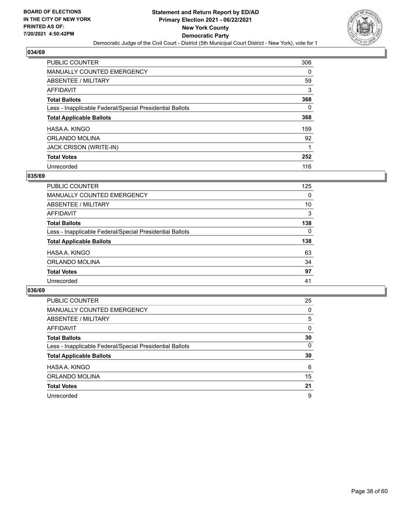

| PUBLIC COUNTER                                           | 306 |
|----------------------------------------------------------|-----|
| <b>MANUALLY COUNTED EMERGENCY</b>                        | 0   |
| ABSENTEE / MILITARY                                      | 59  |
| AFFIDAVIT                                                | 3   |
| <b>Total Ballots</b>                                     | 368 |
| Less - Inapplicable Federal/Special Presidential Ballots | 0   |
| <b>Total Applicable Ballots</b>                          | 368 |
| HASA A. KINGO                                            | 159 |
| ORLANDO MOLINA                                           | 92  |
| JACK CRISON (WRITE-IN)                                   |     |
| <b>Total Votes</b>                                       | 252 |
| Unrecorded                                               | 116 |

#### **035/69**

| <b>PUBLIC COUNTER</b>                                    | 125      |
|----------------------------------------------------------|----------|
| MANUALLY COUNTED EMERGENCY                               | $\Omega$ |
| ABSENTEE / MILITARY                                      | 10       |
| <b>AFFIDAVIT</b>                                         | 3        |
| <b>Total Ballots</b>                                     | 138      |
| Less - Inapplicable Federal/Special Presidential Ballots | $\Omega$ |
| <b>Total Applicable Ballots</b>                          | 138      |
| HASA A. KINGO                                            | 63       |
| ORLANDO MOLINA                                           | 34       |
| <b>Total Votes</b>                                       | 97       |
| Unrecorded                                               | 41       |

| <b>PUBLIC COUNTER</b>                                    | 25       |
|----------------------------------------------------------|----------|
| MANUALLY COUNTED EMERGENCY                               | $\Omega$ |
| ABSENTEE / MILITARY                                      | 5        |
| AFFIDAVIT                                                | $\Omega$ |
| <b>Total Ballots</b>                                     | 30       |
| Less - Inapplicable Federal/Special Presidential Ballots | $\Omega$ |
| <b>Total Applicable Ballots</b>                          | 30       |
| HASA A. KINGO                                            | 6        |
| ORLANDO MOLINA                                           | 15       |
| <b>Total Votes</b>                                       | 21       |
| Unrecorded                                               | 9        |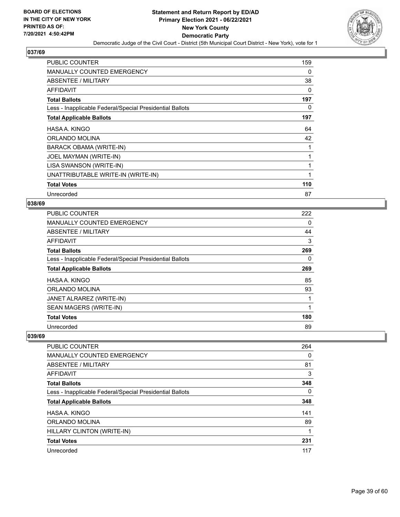

| <b>PUBLIC COUNTER</b>                                    | 159 |
|----------------------------------------------------------|-----|
| MANUALLY COUNTED EMERGENCY                               | 0   |
| ABSENTEE / MILITARY                                      | 38  |
| AFFIDAVIT                                                | 0   |
| <b>Total Ballots</b>                                     | 197 |
| Less - Inapplicable Federal/Special Presidential Ballots | 0   |
| <b>Total Applicable Ballots</b>                          | 197 |
| HASA A. KINGO                                            | 64  |
| ORLANDO MOLINA                                           | 42  |
| BARACK OBAMA (WRITE-IN)                                  | 1   |
| JOEL MAYMAN (WRITE-IN)                                   | 1   |
| LISA SWANSON (WRITE-IN)                                  | 1   |
| UNATTRIBUTABLE WRITE-IN (WRITE-IN)                       | 1   |
| <b>Total Votes</b>                                       | 110 |
| Unrecorded                                               | 87  |

#### **038/69**

| <b>PUBLIC COUNTER</b>                                    | 222 |
|----------------------------------------------------------|-----|
| MANUALLY COUNTED EMERGENCY                               | 0   |
| ABSENTEE / MILITARY                                      | 44  |
| <b>AFFIDAVIT</b>                                         | 3   |
| <b>Total Ballots</b>                                     | 269 |
| Less - Inapplicable Federal/Special Presidential Ballots | 0   |
| <b>Total Applicable Ballots</b>                          | 269 |
| HASA A. KINGO                                            | 85  |
| ORLANDO MOLINA                                           | 93  |
| JANET ALRAREZ (WRITE-IN)                                 | 1   |
| SEAN MAGERS (WRITE-IN)                                   | 1   |
| <b>Total Votes</b>                                       | 180 |
| Unrecorded                                               | 89  |

| <b>PUBLIC COUNTER</b>                                    | 264 |
|----------------------------------------------------------|-----|
| <b>MANUALLY COUNTED EMERGENCY</b>                        | 0   |
| ABSENTEE / MILITARY                                      | 81  |
| AFFIDAVIT                                                | 3   |
| <b>Total Ballots</b>                                     | 348 |
| Less - Inapplicable Federal/Special Presidential Ballots | 0   |
| <b>Total Applicable Ballots</b>                          | 348 |
| HASA A. KINGO                                            | 141 |
| ORLANDO MOLINA                                           | 89  |
| HILLARY CLINTON (WRITE-IN)                               |     |
| <b>Total Votes</b>                                       | 231 |
| Unrecorded                                               | 117 |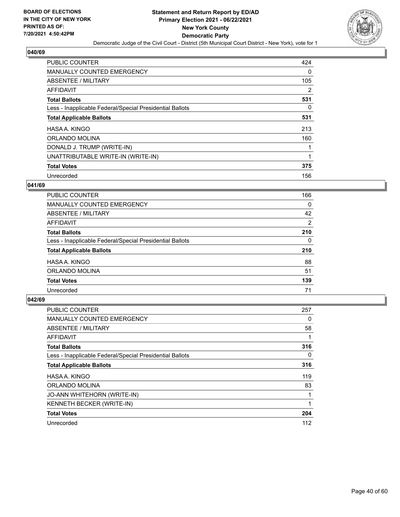

| PUBLIC COUNTER                                           | 424      |
|----------------------------------------------------------|----------|
| <b>MANUALLY COUNTED EMERGENCY</b>                        | $\Omega$ |
| ABSENTEE / MILITARY                                      | 105      |
| AFFIDAVIT                                                | 2        |
| <b>Total Ballots</b>                                     | 531      |
| Less - Inapplicable Federal/Special Presidential Ballots | $\Omega$ |
| <b>Total Applicable Ballots</b>                          | 531      |
| HASA A. KINGO                                            | 213      |
| ORLANDO MOLINA                                           | 160      |
| DONALD J. TRUMP (WRITE-IN)                               |          |
| UNATTRIBUTABLE WRITE-IN (WRITE-IN)                       | 1        |
| <b>Total Votes</b>                                       | 375      |
| Unrecorded                                               | 156      |

#### **041/69**

| <b>PUBLIC COUNTER</b>                                    | 166      |
|----------------------------------------------------------|----------|
| <b>MANUALLY COUNTED EMERGENCY</b>                        | $\Omega$ |
| ABSENTEE / MILITARY                                      | 42       |
| AFFIDAVIT                                                | 2        |
| <b>Total Ballots</b>                                     | 210      |
| Less - Inapplicable Federal/Special Presidential Ballots | 0        |
| <b>Total Applicable Ballots</b>                          | 210      |
| HASA A. KINGO                                            | 88       |
| ORLANDO MOLINA                                           | 51       |
| <b>Total Votes</b>                                       | 139      |
| Unrecorded                                               | 71       |

| <b>PUBLIC COUNTER</b>                                    | 257 |
|----------------------------------------------------------|-----|
| <b>MANUALLY COUNTED EMERGENCY</b>                        | 0   |
| ABSENTEE / MILITARY                                      | 58  |
| AFFIDAVIT                                                | 1   |
| <b>Total Ballots</b>                                     | 316 |
| Less - Inapplicable Federal/Special Presidential Ballots | 0   |
| <b>Total Applicable Ballots</b>                          | 316 |
| HASA A. KINGO                                            | 119 |
| ORLANDO MOLINA                                           | 83  |
| <b>JO-ANN WHITEHORN (WRITE-IN)</b>                       |     |
| KENNETH BECKER (WRITE-IN)                                |     |
| <b>Total Votes</b>                                       | 204 |
| Unrecorded                                               | 112 |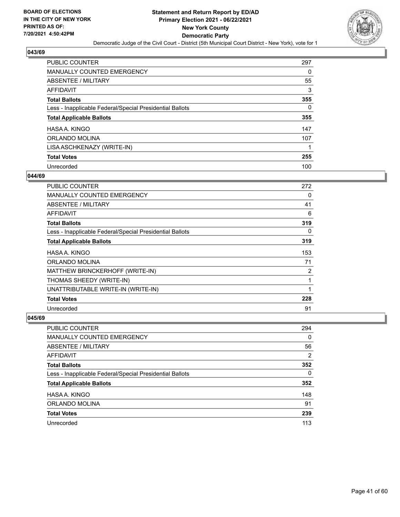

| PUBLIC COUNTER                                           | 297 |
|----------------------------------------------------------|-----|
| <b>MANUALLY COUNTED EMERGENCY</b>                        | 0   |
| ABSENTEE / MILITARY                                      | 55  |
| AFFIDAVIT                                                | 3   |
| <b>Total Ballots</b>                                     | 355 |
| Less - Inapplicable Federal/Special Presidential Ballots | 0   |
| <b>Total Applicable Ballots</b>                          | 355 |
| HASA A. KINGO                                            | 147 |
| ORLANDO MOLINA                                           | 107 |
| LISA ASCHKENAZY (WRITE-IN)                               |     |
| <b>Total Votes</b>                                       | 255 |
| Unrecorded                                               | 100 |

#### **044/69**

| <b>PUBLIC COUNTER</b>                                    | 272 |
|----------------------------------------------------------|-----|
| <b>MANUALLY COUNTED EMERGENCY</b>                        | 0   |
| ABSENTEE / MILITARY                                      | 41  |
| AFFIDAVIT                                                | 6   |
| <b>Total Ballots</b>                                     | 319 |
| Less - Inapplicable Federal/Special Presidential Ballots | 0   |
| <b>Total Applicable Ballots</b>                          | 319 |
| HASA A. KINGO                                            | 153 |
| ORLANDO MOLINA                                           | 71  |
| MATTHEW BRINCKERHOFF (WRITE-IN)                          | 2   |
| THOMAS SHEEDY (WRITE-IN)                                 | 1   |
| UNATTRIBUTABLE WRITE-IN (WRITE-IN)                       |     |
| <b>Total Votes</b>                                       | 228 |
| Unrecorded                                               | 91  |

| <b>PUBLIC COUNTER</b>                                    | 294            |
|----------------------------------------------------------|----------------|
| MANUALLY COUNTED EMERGENCY                               | 0              |
| ABSENTEE / MILITARY                                      | 56             |
| AFFIDAVIT                                                | $\overline{2}$ |
| <b>Total Ballots</b>                                     | 352            |
| Less - Inapplicable Federal/Special Presidential Ballots | $\Omega$       |
| <b>Total Applicable Ballots</b>                          | 352            |
| HASA A. KINGO                                            | 148            |
| ORLANDO MOLINA                                           | 91             |
| <b>Total Votes</b>                                       | 239            |
| Unrecorded                                               | 113            |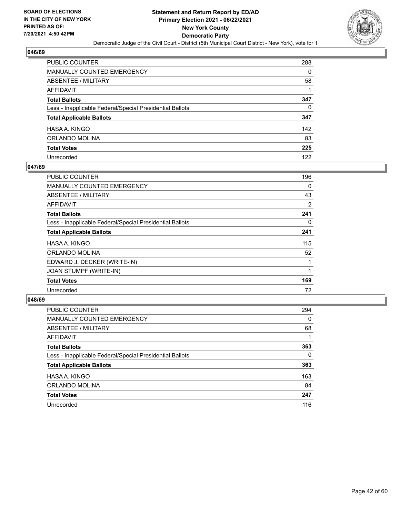

| PUBLIC COUNTER                                           | 288 |
|----------------------------------------------------------|-----|
| MANUALLY COUNTED EMERGENCY                               | 0   |
| ABSENTEE / MILITARY                                      | 58  |
| AFFIDAVIT                                                |     |
| <b>Total Ballots</b>                                     | 347 |
| Less - Inapplicable Federal/Special Presidential Ballots | 0   |
| <b>Total Applicable Ballots</b>                          | 347 |
| HASA A. KINGO                                            | 142 |
| ORLANDO MOLINA                                           | 83  |
| <b>Total Votes</b>                                       | 225 |
| Unrecorded                                               | 122 |

## **047/69**

| PUBLIC COUNTER                                           | 196 |
|----------------------------------------------------------|-----|
| <b>MANUALLY COUNTED EMERGENCY</b>                        | 0   |
| ABSENTEE / MILITARY                                      | 43  |
| AFFIDAVIT                                                | 2   |
| <b>Total Ballots</b>                                     | 241 |
| Less - Inapplicable Federal/Special Presidential Ballots | 0   |
| <b>Total Applicable Ballots</b>                          | 241 |
| HASA A. KINGO                                            | 115 |
| ORLANDO MOLINA                                           | 52  |
| EDWARD J. DECKER (WRITE-IN)                              |     |
| JOAN STUMPF (WRITE-IN)                                   |     |
| <b>Total Votes</b>                                       | 169 |
| Unrecorded                                               | 72  |

| <b>PUBLIC COUNTER</b>                                    | 294      |
|----------------------------------------------------------|----------|
| MANUALLY COUNTED EMERGENCY                               | $\Omega$ |
| ABSENTEE / MILITARY                                      | 68       |
| AFFIDAVIT                                                |          |
| <b>Total Ballots</b>                                     | 363      |
| Less - Inapplicable Federal/Special Presidential Ballots | $\Omega$ |
| <b>Total Applicable Ballots</b>                          | 363      |
| HASA A. KINGO                                            | 163      |
| ORLANDO MOLINA                                           | 84       |
| <b>Total Votes</b>                                       | 247      |
| Unrecorded                                               | 116      |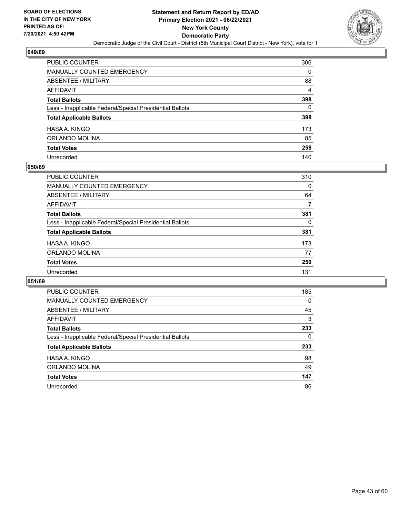

| PUBLIC COUNTER                                           | 306 |
|----------------------------------------------------------|-----|
| MANUALLY COUNTED EMERGENCY                               | 0   |
| ABSENTEE / MILITARY                                      | 88  |
| AFFIDAVIT                                                | 4   |
| <b>Total Ballots</b>                                     | 398 |
| Less - Inapplicable Federal/Special Presidential Ballots | 0   |
| <b>Total Applicable Ballots</b>                          | 398 |
| HASA A. KINGO                                            | 173 |
| ORLANDO MOLINA                                           | 85  |
| <b>Total Votes</b>                                       | 258 |
| Unrecorded                                               | 140 |

#### **050/69**

| <b>PUBLIC COUNTER</b>                                    | 310      |
|----------------------------------------------------------|----------|
| MANUALLY COUNTED EMERGENCY                               | $\Omega$ |
| ABSENTEE / MILITARY                                      | 64       |
| AFFIDAVIT                                                | 7        |
| <b>Total Ballots</b>                                     | 381      |
| Less - Inapplicable Federal/Special Presidential Ballots | $\Omega$ |
| <b>Total Applicable Ballots</b>                          | 381      |
| HASA A. KINGO                                            | 173      |
| ORLANDO MOLINA                                           | 77       |
| <b>Total Votes</b>                                       | 250      |
| Unrecorded                                               | 131      |

| <b>PUBLIC COUNTER</b>                                    | 185 |
|----------------------------------------------------------|-----|
| <b>MANUALLY COUNTED EMERGENCY</b>                        | 0   |
| ABSENTEE / MILITARY                                      | 45  |
| AFFIDAVIT                                                | 3   |
| <b>Total Ballots</b>                                     | 233 |
| Less - Inapplicable Federal/Special Presidential Ballots | 0   |
| <b>Total Applicable Ballots</b>                          | 233 |
| HASA A. KINGO                                            | 98  |
| ORLANDO MOLINA                                           | 49  |
| <b>Total Votes</b>                                       | 147 |
| Unrecorded                                               | 86  |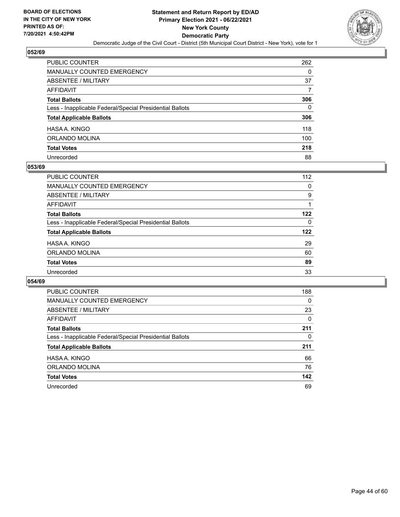

| PUBLIC COUNTER                                           | 262 |
|----------------------------------------------------------|-----|
| <b>MANUALLY COUNTED EMERGENCY</b>                        | 0   |
| ABSENTEE / MILITARY                                      | 37  |
| AFFIDAVIT                                                |     |
| <b>Total Ballots</b>                                     | 306 |
| Less - Inapplicable Federal/Special Presidential Ballots | 0   |
| <b>Total Applicable Ballots</b>                          | 306 |
| HASA A. KINGO                                            | 118 |
| ORLANDO MOLINA                                           | 100 |
| <b>Total Votes</b>                                       | 218 |
| Unrecorded                                               | 88  |

#### **053/69**

| PUBLIC COUNTER                                           | 112      |
|----------------------------------------------------------|----------|
| <b>MANUALLY COUNTED EMERGENCY</b>                        | 0        |
| ABSENTEE / MILITARY                                      | 9        |
| AFFIDAVIT                                                |          |
| <b>Total Ballots</b>                                     | 122      |
| Less - Inapplicable Federal/Special Presidential Ballots | $\Omega$ |
| <b>Total Applicable Ballots</b>                          | 122      |
| HASA A. KINGO                                            | 29       |
| ORLANDO MOLINA                                           | 60       |
| <b>Total Votes</b>                                       | 89       |
| Unrecorded                                               | 33       |

| PUBLIC COUNTER                                           | 188      |
|----------------------------------------------------------|----------|
| <b>MANUALLY COUNTED EMERGENCY</b>                        | $\Omega$ |
| ABSENTEE / MILITARY                                      | 23       |
| AFFIDAVIT                                                | $\Omega$ |
| <b>Total Ballots</b>                                     | 211      |
| Less - Inapplicable Federal/Special Presidential Ballots | 0        |
| <b>Total Applicable Ballots</b>                          | 211      |
| HASA A. KINGO                                            | 66       |
| ORLANDO MOLINA                                           | 76       |
| <b>Total Votes</b>                                       | 142      |
| Unrecorded                                               | 69       |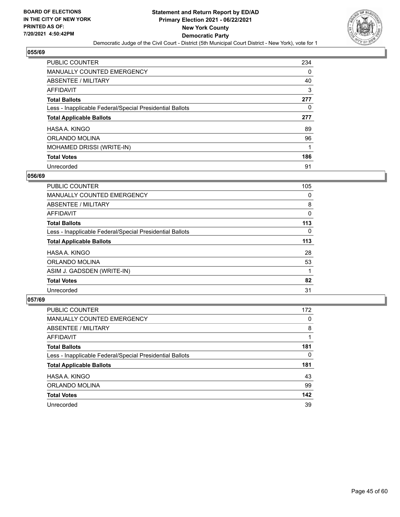

| PUBLIC COUNTER                                           | 234 |
|----------------------------------------------------------|-----|
| <b>MANUALLY COUNTED EMERGENCY</b>                        | 0   |
| ABSENTEE / MILITARY                                      | 40  |
| AFFIDAVIT                                                | 3   |
| <b>Total Ballots</b>                                     | 277 |
| Less - Inapplicable Federal/Special Presidential Ballots | 0   |
|                                                          |     |
| <b>Total Applicable Ballots</b>                          | 277 |
| HASA A. KINGO                                            | 89  |
| ORLANDO MOLINA                                           | 96  |
| MOHAMED DRISSI (WRITE-IN)                                | 1   |
| <b>Total Votes</b>                                       | 186 |

#### **056/69**

| <b>PUBLIC COUNTER</b>                                    | 105      |
|----------------------------------------------------------|----------|
| <b>MANUALLY COUNTED EMERGENCY</b>                        | 0        |
| ABSENTEE / MILITARY                                      | 8        |
| <b>AFFIDAVIT</b>                                         | 0        |
| <b>Total Ballots</b>                                     | 113      |
| Less - Inapplicable Federal/Special Presidential Ballots | $\Omega$ |
| <b>Total Applicable Ballots</b>                          | 113      |
| HASA A. KINGO                                            | 28       |
| ORLANDO MOLINA                                           | 53       |
| ASIM J. GADSDEN (WRITE-IN)                               |          |
| <b>Total Votes</b>                                       | 82       |
| Unrecorded                                               | 31       |

| <b>PUBLIC COUNTER</b>                                    | 172 |
|----------------------------------------------------------|-----|
| MANUALLY COUNTED EMERGENCY                               | 0   |
| ABSENTEE / MILITARY                                      | 8   |
| AFFIDAVIT                                                |     |
| <b>Total Ballots</b>                                     | 181 |
| Less - Inapplicable Federal/Special Presidential Ballots | 0   |
| <b>Total Applicable Ballots</b>                          | 181 |
| HASA A. KINGO                                            | 43  |
| ORLANDO MOLINA                                           | 99  |
| <b>Total Votes</b>                                       | 142 |
| Unrecorded                                               | 39  |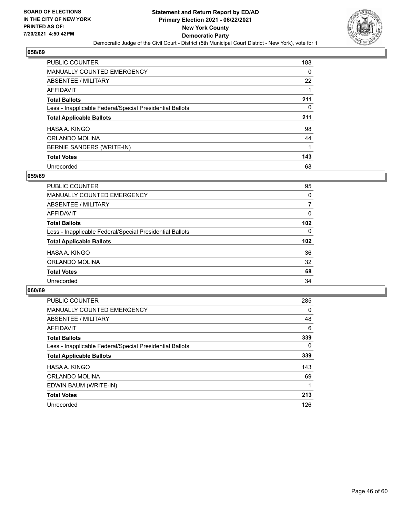

| PUBLIC COUNTER                                           | 188 |
|----------------------------------------------------------|-----|
| MANUALLY COUNTED EMERGENCY                               | 0   |
| ABSENTEE / MILITARY                                      | 22  |
| AFFIDAVIT                                                |     |
| <b>Total Ballots</b>                                     | 211 |
| Less - Inapplicable Federal/Special Presidential Ballots | 0   |
| <b>Total Applicable Ballots</b>                          | 211 |
| HASA A. KINGO                                            | 98  |
| ORLANDO MOLINA                                           | 44  |
| BERNIE SANDERS (WRITE-IN)                                | 1   |
| <b>Total Votes</b>                                       | 143 |
| Unrecorded                                               | 68  |

#### **059/69**

| <b>PUBLIC COUNTER</b>                                    | 95               |
|----------------------------------------------------------|------------------|
| <b>MANUALLY COUNTED EMERGENCY</b>                        | 0                |
| ABSENTEE / MILITARY                                      | 7                |
| AFFIDAVIT                                                | 0                |
| <b>Total Ballots</b>                                     | 102              |
| Less - Inapplicable Federal/Special Presidential Ballots | $\Omega$         |
| <b>Total Applicable Ballots</b>                          | 102 <sub>2</sub> |
| HASA A. KINGO                                            | 36               |
| ORLANDO MOLINA                                           | 32               |
| <b>Total Votes</b>                                       | 68               |
| Unrecorded                                               | 34               |

| <b>PUBLIC COUNTER</b>                                    | 285      |
|----------------------------------------------------------|----------|
| <b>MANUALLY COUNTED EMERGENCY</b>                        | 0        |
| ABSENTEE / MILITARY                                      | 48       |
| AFFIDAVIT                                                | 6        |
| <b>Total Ballots</b>                                     | 339      |
| Less - Inapplicable Federal/Special Presidential Ballots | $\Omega$ |
| <b>Total Applicable Ballots</b>                          | 339      |
| HASA A. KINGO                                            | 143      |
| ORLANDO MOLINA                                           | 69       |
| EDWIN BAUM (WRITE-IN)                                    |          |
| <b>Total Votes</b>                                       | 213      |
| Unrecorded                                               | 126      |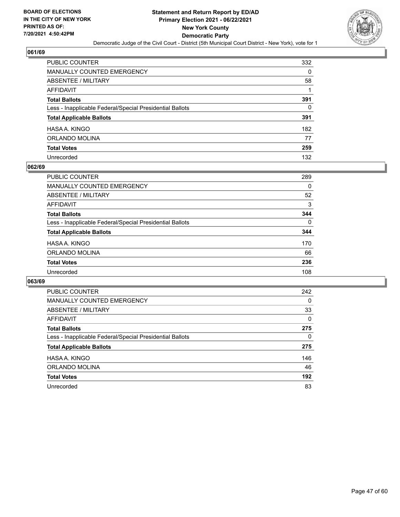

| PUBLIC COUNTER                                           | 332 |
|----------------------------------------------------------|-----|
| MANUALLY COUNTED EMERGENCY                               | 0   |
| ABSENTEE / MILITARY                                      | 58  |
| AFFIDAVIT                                                |     |
| <b>Total Ballots</b>                                     | 391 |
| Less - Inapplicable Federal/Special Presidential Ballots | 0   |
| <b>Total Applicable Ballots</b>                          | 391 |
| HASA A. KINGO                                            | 182 |
| ORLANDO MOLINA                                           | 77  |
| <b>Total Votes</b>                                       | 259 |
| Unrecorded                                               | 132 |

#### **062/69**

| <b>PUBLIC COUNTER</b>                                    | 289      |
|----------------------------------------------------------|----------|
| MANUALLY COUNTED EMERGENCY                               | $\Omega$ |
| ABSENTEE / MILITARY                                      | 52       |
| AFFIDAVIT                                                | 3        |
| <b>Total Ballots</b>                                     | 344      |
| Less - Inapplicable Federal/Special Presidential Ballots | $\Omega$ |
| <b>Total Applicable Ballots</b>                          | 344      |
| HASA A. KINGO                                            | 170      |
| ORLANDO MOLINA                                           | 66       |
| <b>Total Votes</b>                                       | 236      |
| Unrecorded                                               | 108      |

| PUBLIC COUNTER                                           | 242      |
|----------------------------------------------------------|----------|
| <b>MANUALLY COUNTED EMERGENCY</b>                        | $\Omega$ |
| ABSENTEE / MILITARY                                      | 33       |
| <b>AFFIDAVIT</b>                                         | $\Omega$ |
| <b>Total Ballots</b>                                     | 275      |
| Less - Inapplicable Federal/Special Presidential Ballots | 0        |
| <b>Total Applicable Ballots</b>                          | 275      |
| HASA A. KINGO                                            | 146      |
| ORLANDO MOLINA                                           | 46       |
| <b>Total Votes</b>                                       | 192      |
| Unrecorded                                               | 83       |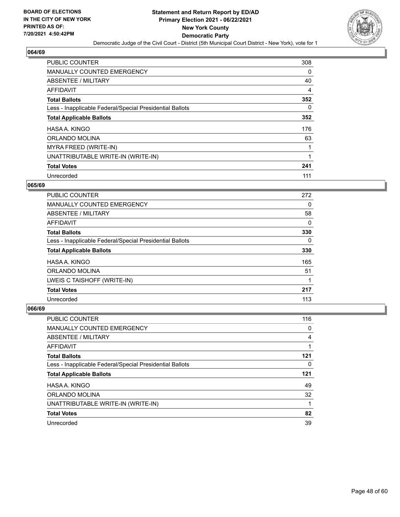

| PUBLIC COUNTER                                           | 308      |
|----------------------------------------------------------|----------|
| <b>MANUALLY COUNTED EMERGENCY</b>                        | $\Omega$ |
| ABSENTEE / MILITARY                                      | 40       |
| AFFIDAVIT                                                | 4        |
| <b>Total Ballots</b>                                     | 352      |
| Less - Inapplicable Federal/Special Presidential Ballots | $\Omega$ |
| <b>Total Applicable Ballots</b>                          | 352      |
| HASA A. KINGO                                            | 176      |
| ORLANDO MOLINA                                           | 63       |
| MYRA FREED (WRITE-IN)                                    |          |
| UNATTRIBUTABLE WRITE-IN (WRITE-IN)                       | 1        |
| <b>Total Votes</b>                                       | 241      |
| Unrecorded                                               | 111      |

#### **065/69**

| PUBLIC COUNTER                                           | 272      |
|----------------------------------------------------------|----------|
| <b>MANUALLY COUNTED EMERGENCY</b>                        | 0        |
| ABSENTEE / MILITARY                                      | 58       |
| AFFIDAVIT                                                | $\Omega$ |
| <b>Total Ballots</b>                                     | 330      |
| Less - Inapplicable Federal/Special Presidential Ballots | $\Omega$ |
| <b>Total Applicable Ballots</b>                          | 330      |
| HASA A. KINGO                                            | 165      |
| ORLANDO MOLINA                                           | 51       |
| LWEIS C TAISHOFF (WRITE-IN)                              |          |
| <b>Total Votes</b>                                       | 217      |
| Unrecorded                                               | 113      |

| <b>PUBLIC COUNTER</b>                                    | 116 |
|----------------------------------------------------------|-----|
| <b>MANUALLY COUNTED EMERGENCY</b>                        | 0   |
| ABSENTEE / MILITARY                                      | 4   |
| AFFIDAVIT                                                |     |
| <b>Total Ballots</b>                                     | 121 |
| Less - Inapplicable Federal/Special Presidential Ballots | 0   |
|                                                          |     |
| <b>Total Applicable Ballots</b>                          | 121 |
| HASA A. KINGO                                            | 49  |
| ORLANDO MOLINA                                           | 32  |
| UNATTRIBUTABLE WRITE-IN (WRITE-IN)                       |     |
| <b>Total Votes</b>                                       | 82  |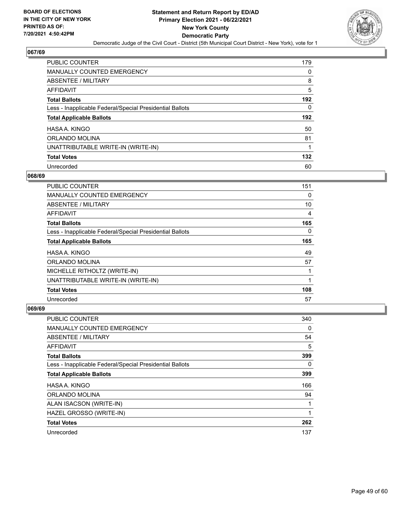

| PUBLIC COUNTER                                           | 179 |
|----------------------------------------------------------|-----|
| <b>MANUALLY COUNTED EMERGENCY</b>                        | 0   |
| <b>ABSENTEE / MILITARY</b>                               | 8   |
| AFFIDAVIT                                                | 5   |
| <b>Total Ballots</b>                                     | 192 |
| Less - Inapplicable Federal/Special Presidential Ballots | 0   |
| <b>Total Applicable Ballots</b>                          | 192 |
| HASA A. KINGO                                            | 50  |
|                                                          |     |
| ORLANDO MOLINA                                           | 81  |
| UNATTRIBUTABLE WRITE-IN (WRITE-IN)                       |     |
| <b>Total Votes</b>                                       | 132 |

#### **068/69**

| PUBLIC COUNTER                                           | 151      |
|----------------------------------------------------------|----------|
| <b>MANUALLY COUNTED EMERGENCY</b>                        | $\Omega$ |
| ABSENTEE / MILITARY                                      | 10       |
| AFFIDAVIT                                                | 4        |
| <b>Total Ballots</b>                                     | 165      |
| Less - Inapplicable Federal/Special Presidential Ballots | $\Omega$ |
| <b>Total Applicable Ballots</b>                          | 165      |
| HASA A. KINGO                                            | 49       |
| ORLANDO MOLINA                                           | 57       |
| MICHELLE RITHOLTZ (WRITE-IN)                             |          |
| UNATTRIBUTABLE WRITE-IN (WRITE-IN)                       | 1        |
| <b>Total Votes</b>                                       | 108      |
| Unrecorded                                               | 57       |

| PUBLIC COUNTER                                           | 340      |
|----------------------------------------------------------|----------|
| <b>MANUALLY COUNTED EMERGENCY</b>                        | 0        |
| ABSENTEE / MILITARY                                      | 54       |
| AFFIDAVIT                                                | 5        |
| <b>Total Ballots</b>                                     | 399      |
| Less - Inapplicable Federal/Special Presidential Ballots | $\Omega$ |
| <b>Total Applicable Ballots</b>                          | 399      |
| HASA A. KINGO                                            | 166      |
| ORLANDO MOLINA                                           | 94       |
| ALAN ISACSON (WRITE-IN)                                  | 1        |
| HAZEL GROSSO (WRITE-IN)                                  | 1        |
| <b>Total Votes</b>                                       | 262      |
| Unrecorded                                               | 137      |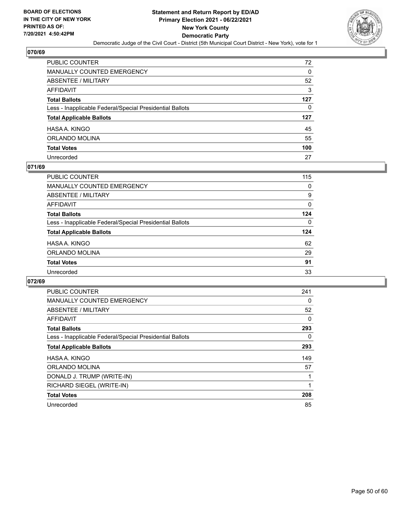

| PUBLIC COUNTER                                           | 72  |
|----------------------------------------------------------|-----|
| MANUALLY COUNTED EMERGENCY                               | 0   |
| ABSENTEE / MILITARY                                      | 52  |
| AFFIDAVIT                                                | 3   |
| Total Ballots                                            | 127 |
| Less - Inapplicable Federal/Special Presidential Ballots | 0   |
| <b>Total Applicable Ballots</b>                          | 127 |
| HASA A. KINGO                                            | 45  |
| ORLANDO MOLINA                                           | 55  |
| <b>Total Votes</b>                                       | 100 |
| Unrecorded                                               | 27  |

#### **071/69**

| PUBLIC COUNTER                                           | 115      |
|----------------------------------------------------------|----------|
| <b>MANUALLY COUNTED EMERGENCY</b>                        | 0        |
| ABSENTEE / MILITARY                                      | 9        |
| AFFIDAVIT                                                | $\Omega$ |
| <b>Total Ballots</b>                                     | 124      |
| Less - Inapplicable Federal/Special Presidential Ballots | 0        |
| <b>Total Applicable Ballots</b>                          | 124      |
| HASA A. KINGO                                            | 62       |
| ORLANDO MOLINA                                           | 29       |
| <b>Total Votes</b>                                       | 91       |
| Unrecorded                                               | 33       |

| PUBLIC COUNTER                                           | 241 |
|----------------------------------------------------------|-----|
| <b>MANUALLY COUNTED EMERGENCY</b>                        | 0   |
| ABSENTEE / MILITARY                                      | 52  |
| AFFIDAVIT                                                | 0   |
| <b>Total Ballots</b>                                     | 293 |
| Less - Inapplicable Federal/Special Presidential Ballots | 0   |
| <b>Total Applicable Ballots</b>                          | 293 |
| HASA A. KINGO                                            | 149 |
| ORLANDO MOLINA                                           | 57  |
| DONALD J. TRUMP (WRITE-IN)                               |     |
| RICHARD SIEGEL (WRITE-IN)                                |     |
| <b>Total Votes</b>                                       | 208 |
| Unrecorded                                               | 85  |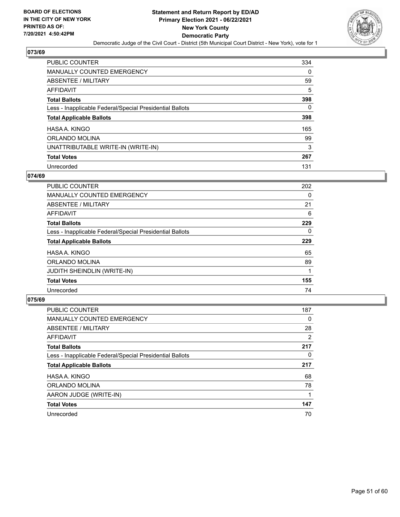

| PUBLIC COUNTER                                           | 334      |
|----------------------------------------------------------|----------|
| <b>MANUALLY COUNTED EMERGENCY</b>                        | $\Omega$ |
| <b>ABSENTEE / MILITARY</b>                               | 59       |
| <b>AFFIDAVIT</b>                                         | 5        |
| <b>Total Ballots</b>                                     | 398      |
| Less - Inapplicable Federal/Special Presidential Ballots | 0        |
| <b>Total Applicable Ballots</b>                          | 398      |
| HASA A. KINGO                                            | 165      |
| ORLANDO MOLINA                                           | 99       |
| UNATTRIBUTABLE WRITE-IN (WRITE-IN)                       | 3        |
| <b>Total Votes</b>                                       | 267      |
| Unrecorded                                               | 131      |

#### **074/69**

| <b>PUBLIC COUNTER</b>                                    | 202      |
|----------------------------------------------------------|----------|
| <b>MANUALLY COUNTED EMERGENCY</b>                        | 0        |
| ABSENTEE / MILITARY                                      | 21       |
| <b>AFFIDAVIT</b>                                         | 6        |
| <b>Total Ballots</b>                                     | 229      |
| Less - Inapplicable Federal/Special Presidential Ballots | $\Omega$ |
| <b>Total Applicable Ballots</b>                          | 229      |
| HASA A. KINGO                                            | 65       |
| ORLANDO MOLINA                                           | 89       |
| JUDITH SHEINDLIN (WRITE-IN)                              |          |
| <b>Total Votes</b>                                       | 155      |
| Unrecorded                                               | 74       |

| <b>PUBLIC COUNTER</b>                                    | 187 |
|----------------------------------------------------------|-----|
| <b>MANUALLY COUNTED EMERGENCY</b>                        | 0   |
| ABSENTEE / MILITARY                                      | 28  |
| <b>AFFIDAVIT</b>                                         | 2   |
| <b>Total Ballots</b>                                     | 217 |
| Less - Inapplicable Federal/Special Presidential Ballots | 0   |
| <b>Total Applicable Ballots</b>                          | 217 |
| HASA A. KINGO                                            | 68  |
| ORLANDO MOLINA                                           | 78  |
| AARON JUDGE (WRITE-IN)                                   |     |
| <b>Total Votes</b>                                       | 147 |
| Unrecorded                                               | 70  |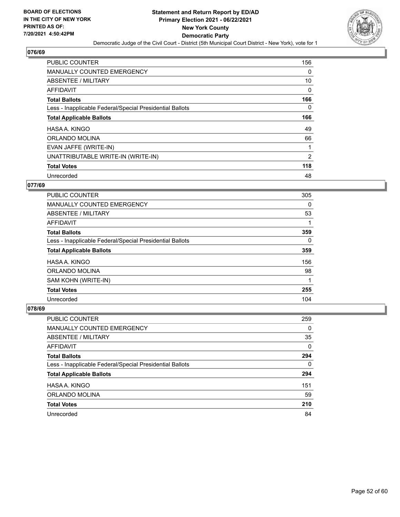

| <b>PUBLIC COUNTER</b>                                    | 156      |
|----------------------------------------------------------|----------|
| MANUALLY COUNTED EMERGENCY                               | 0        |
| ABSENTEE / MILITARY                                      | 10       |
| <b>AFFIDAVIT</b>                                         | $\Omega$ |
| <b>Total Ballots</b>                                     | 166      |
| Less - Inapplicable Federal/Special Presidential Ballots | $\Omega$ |
| <b>Total Applicable Ballots</b>                          | 166      |
| HASA A. KINGO                                            | 49       |
| ORLANDO MOLINA                                           | 66       |
| EVAN JAFFE (WRITE-IN)                                    |          |
| UNATTRIBUTABLE WRITE-IN (WRITE-IN)                       | 2        |
| <b>Total Votes</b>                                       | 118      |
| Unrecorded                                               | 48       |

## **077/69**

| <b>PUBLIC COUNTER</b>                                    | 305 |
|----------------------------------------------------------|-----|
| <b>MANUALLY COUNTED EMERGENCY</b>                        | 0   |
| ABSENTEE / MILITARY                                      | 53  |
| AFFIDAVIT                                                |     |
| <b>Total Ballots</b>                                     | 359 |
| Less - Inapplicable Federal/Special Presidential Ballots | 0   |
| <b>Total Applicable Ballots</b>                          | 359 |
| HASA A. KINGO                                            | 156 |
| ORLANDO MOLINA                                           | 98  |
| SAM KOHN (WRITE-IN)                                      |     |
| <b>Total Votes</b>                                       | 255 |
| Unrecorded                                               | 104 |

| PUBLIC COUNTER                                           | 259      |
|----------------------------------------------------------|----------|
| MANUALLY COUNTED EMERGENCY                               | 0        |
| ABSENTEE / MILITARY                                      | 35       |
| AFFIDAVIT                                                | $\Omega$ |
| <b>Total Ballots</b>                                     | 294      |
| Less - Inapplicable Federal/Special Presidential Ballots | 0        |
| <b>Total Applicable Ballots</b>                          | 294      |
| HASA A. KINGO                                            | 151      |
| ORLANDO MOLINA                                           | 59       |
| <b>Total Votes</b>                                       | 210      |
| Unrecorded                                               | 84       |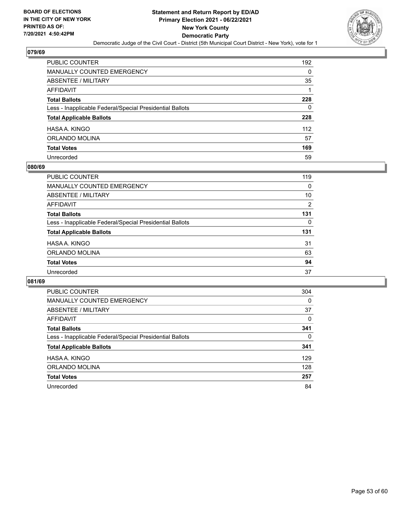

| PUBLIC COUNTER                                           | 192 |
|----------------------------------------------------------|-----|
| MANUALLY COUNTED EMERGENCY                               | 0   |
| ABSENTEE / MILITARY                                      | 35  |
| AFFIDAVIT                                                |     |
| <b>Total Ballots</b>                                     | 228 |
| Less - Inapplicable Federal/Special Presidential Ballots | 0   |
| <b>Total Applicable Ballots</b>                          | 228 |
| HASA A. KINGO                                            | 112 |
| ORLANDO MOLINA                                           | 57  |
| <b>Total Votes</b>                                       | 169 |
| Unrecorded                                               | 59  |

#### **080/69**

| <b>PUBLIC COUNTER</b>                                    | 119            |
|----------------------------------------------------------|----------------|
| <b>MANUALLY COUNTED EMERGENCY</b>                        | 0              |
| ABSENTEE / MILITARY                                      | 10             |
| AFFIDAVIT                                                | $\overline{2}$ |
| <b>Total Ballots</b>                                     | 131            |
| Less - Inapplicable Federal/Special Presidential Ballots | $\Omega$       |
| <b>Total Applicable Ballots</b>                          | 131            |
| HASA A. KINGO                                            | 31             |
| ORLANDO MOLINA                                           | 63             |
| <b>Total Votes</b>                                       | 94             |
| Unrecorded                                               | 37             |

| PUBLIC COUNTER                                           | 304      |
|----------------------------------------------------------|----------|
| <b>MANUALLY COUNTED EMERGENCY</b>                        | $\Omega$ |
| ABSENTEE / MILITARY                                      | 37       |
| <b>AFFIDAVIT</b>                                         | 0        |
| <b>Total Ballots</b>                                     | 341      |
| Less - Inapplicable Federal/Special Presidential Ballots | $\Omega$ |
| <b>Total Applicable Ballots</b>                          | 341      |
| HASA A. KINGO                                            | 129      |
| ORLANDO MOLINA                                           | 128      |
| <b>Total Votes</b>                                       | 257      |
| Unrecorded                                               | 84       |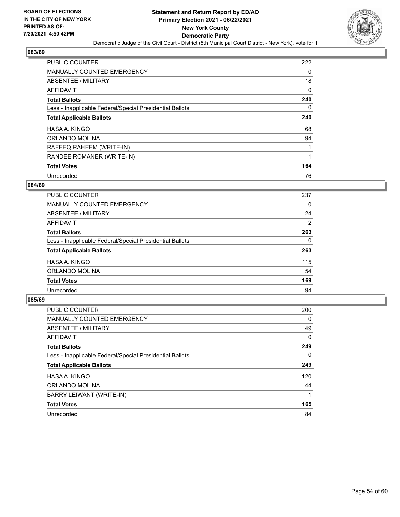

| PUBLIC COUNTER                                           | 222      |
|----------------------------------------------------------|----------|
| <b>MANUALLY COUNTED EMERGENCY</b>                        | $\Omega$ |
| ABSENTEE / MILITARY                                      | 18       |
| <b>AFFIDAVIT</b>                                         | 0        |
| <b>Total Ballots</b>                                     | 240      |
| Less - Inapplicable Federal/Special Presidential Ballots | $\Omega$ |
| <b>Total Applicable Ballots</b>                          | 240      |
| HASA A. KINGO                                            | 68       |
| ORLANDO MOLINA                                           | 94       |
| RAFEEQ RAHEEM (WRITE-IN)                                 |          |
| RANDEE ROMANER (WRITE-IN)                                |          |
| <b>Total Votes</b>                                       | 164      |
| Unrecorded                                               | 76       |

## **084/69**

| PUBLIC COUNTER                                           | 237            |
|----------------------------------------------------------|----------------|
| <b>MANUALLY COUNTED EMERGENCY</b>                        | 0              |
| ABSENTEE / MILITARY                                      | 24             |
| <b>AFFIDAVIT</b>                                         | $\overline{2}$ |
| <b>Total Ballots</b>                                     | 263            |
| Less - Inapplicable Federal/Special Presidential Ballots | $\Omega$       |
| <b>Total Applicable Ballots</b>                          | 263            |
| HASA A. KINGO                                            | 115            |
| ORLANDO MOLINA                                           | 54             |
| <b>Total Votes</b>                                       | 169            |
| Unrecorded                                               | 94             |

| <b>PUBLIC COUNTER</b>                                    | 200      |
|----------------------------------------------------------|----------|
| <b>MANUALLY COUNTED EMERGENCY</b>                        | $\Omega$ |
| ABSENTEE / MILITARY                                      | 49       |
| <b>AFFIDAVIT</b>                                         | 0        |
| <b>Total Ballots</b>                                     | 249      |
| Less - Inapplicable Federal/Special Presidential Ballots | $\Omega$ |
| <b>Total Applicable Ballots</b>                          | 249      |
| HASA A. KINGO                                            | 120      |
| ORLANDO MOLINA                                           | 44       |
| BARRY LEIWANT (WRITE-IN)                                 |          |
| <b>Total Votes</b>                                       | 165      |
| Unrecorded                                               | 84       |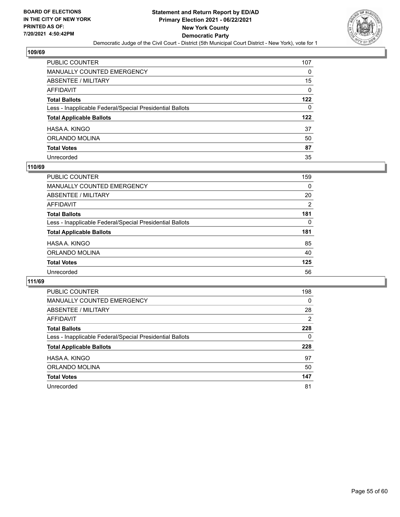

| PUBLIC COUNTER                                           | 107 |
|----------------------------------------------------------|-----|
| MANUALLY COUNTED EMERGENCY                               | 0   |
| ABSENTEE / MILITARY                                      | 15  |
| AFFIDAVIT                                                | 0   |
| Total Ballots                                            | 122 |
| Less - Inapplicable Federal/Special Presidential Ballots | 0   |
| <b>Total Applicable Ballots</b>                          | 122 |
| HASA A. KINGO                                            | 37  |
| ORLANDO MOLINA                                           | 50  |
| <b>Total Votes</b>                                       | 87  |
| Unrecorded                                               | 35  |

#### **110/69**

| <b>PUBLIC COUNTER</b>                                    | 159      |
|----------------------------------------------------------|----------|
| MANUALLY COUNTED EMERGENCY                               | $\Omega$ |
| ABSENTEE / MILITARY                                      | 20       |
| AFFIDAVIT                                                | 2        |
| <b>Total Ballots</b>                                     | 181      |
| Less - Inapplicable Federal/Special Presidential Ballots | $\Omega$ |
| <b>Total Applicable Ballots</b>                          | 181      |
| HASA A. KINGO                                            | 85       |
| ORLANDO MOLINA                                           | 40       |
| <b>Total Votes</b>                                       | 125      |
| Unrecorded                                               | 56       |

| <b>PUBLIC COUNTER</b>                                    | 198      |
|----------------------------------------------------------|----------|
| <b>MANUALLY COUNTED EMERGENCY</b>                        | $\Omega$ |
| ABSENTEE / MILITARY                                      | 28       |
| AFFIDAVIT                                                | 2        |
| <b>Total Ballots</b>                                     | 228      |
| Less - Inapplicable Federal/Special Presidential Ballots | 0        |
| <b>Total Applicable Ballots</b>                          | 228      |
| HASA A. KINGO                                            | 97       |
| ORLANDO MOLINA                                           | 50       |
| <b>Total Votes</b>                                       | 147      |
| Unrecorded                                               | 81       |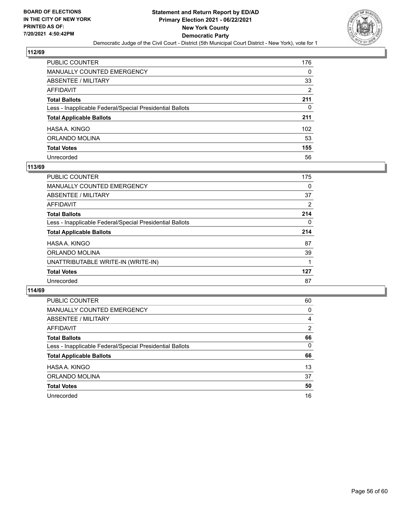

| PUBLIC COUNTER                                           | 176            |
|----------------------------------------------------------|----------------|
| MANUALLY COUNTED EMERGENCY                               | 0              |
| ABSENTEE / MILITARY                                      | 33             |
| AFFIDAVIT                                                | $\overline{2}$ |
| <b>Total Ballots</b>                                     | 211            |
| Less - Inapplicable Federal/Special Presidential Ballots | 0              |
| <b>Total Applicable Ballots</b>                          | 211            |
| HASA A. KINGO                                            | 102            |
| ORLANDO MOLINA                                           | 53             |
| <b>Total Votes</b>                                       | 155            |
| Unrecorded                                               | 56             |

#### **113/69**

| <b>PUBLIC COUNTER</b>                                    | 175 |
|----------------------------------------------------------|-----|
| <b>MANUALLY COUNTED EMERGENCY</b>                        | 0   |
| ABSENTEE / MILITARY                                      | 37  |
| AFFIDAVIT                                                | 2   |
| <b>Total Ballots</b>                                     | 214 |
| Less - Inapplicable Federal/Special Presidential Ballots | 0   |
| <b>Total Applicable Ballots</b>                          | 214 |
| HASA A. KINGO                                            | 87  |
| ORLANDO MOLINA                                           | 39  |
| UNATTRIBUTABLE WRITE-IN (WRITE-IN)                       |     |
| <b>Total Votes</b>                                       | 127 |
| Unrecorded                                               | 87  |

| <b>PUBLIC COUNTER</b>                                    | 60             |
|----------------------------------------------------------|----------------|
| <b>MANUALLY COUNTED EMERGENCY</b>                        | 0              |
| ABSENTEE / MILITARY                                      | 4              |
| AFFIDAVIT                                                | $\overline{2}$ |
| <b>Total Ballots</b>                                     | 66             |
| Less - Inapplicable Federal/Special Presidential Ballots | $\Omega$       |
| <b>Total Applicable Ballots</b>                          | 66             |
| HASA A. KINGO                                            | 13             |
| ORLANDO MOLINA                                           | 37             |
| <b>Total Votes</b>                                       | 50             |
| Unrecorded                                               | 16             |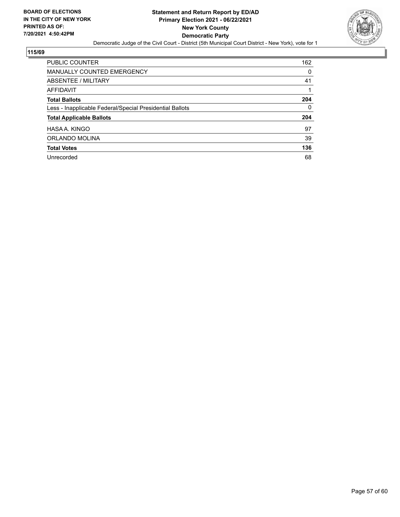

| PUBLIC COUNTER                                           | 162      |
|----------------------------------------------------------|----------|
| <b>MANUALLY COUNTED EMERGENCY</b>                        | 0        |
| ABSENTEE / MILITARY                                      | 41       |
| AFFIDAVIT                                                |          |
| <b>Total Ballots</b>                                     | 204      |
| Less - Inapplicable Federal/Special Presidential Ballots | $\Omega$ |
| <b>Total Applicable Ballots</b>                          | 204      |
| HASA A. KINGO                                            | 97       |
| ORLANDO MOLINA                                           | 39       |
| <b>Total Votes</b>                                       | 136      |
| Unrecorded                                               | 68       |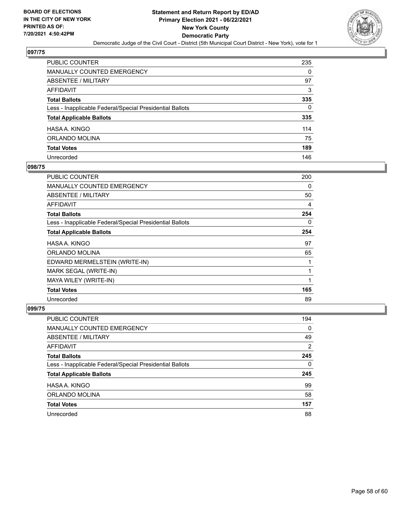

| PUBLIC COUNTER                                           | 235 |
|----------------------------------------------------------|-----|
| MANUALLY COUNTED EMERGENCY                               | 0   |
| ABSENTEE / MILITARY                                      | 97  |
| AFFIDAVIT                                                | 3   |
| <b>Total Ballots</b>                                     | 335 |
| Less - Inapplicable Federal/Special Presidential Ballots | 0   |
| <b>Total Applicable Ballots</b>                          | 335 |
| HASA A. KINGO                                            | 114 |
| ORLANDO MOLINA                                           | 75  |
| <b>Total Votes</b>                                       | 189 |
| Unrecorded                                               | 146 |

#### **098/75**

| PUBLIC COUNTER                                           | 200 |
|----------------------------------------------------------|-----|
| <b>MANUALLY COUNTED EMERGENCY</b>                        | 0   |
| <b>ABSENTEE / MILITARY</b>                               | 50  |
| AFFIDAVIT                                                | 4   |
| <b>Total Ballots</b>                                     | 254 |
| Less - Inapplicable Federal/Special Presidential Ballots | 0   |
| <b>Total Applicable Ballots</b>                          | 254 |
| HASA A. KINGO                                            | 97  |
| ORLANDO MOLINA                                           | 65  |
| EDWARD MERMELSTEIN (WRITE-IN)                            |     |
| MARK SEGAL (WRITE-IN)                                    | 1   |
| MAYA WILEY (WRITE-IN)                                    |     |
| <b>Total Votes</b>                                       | 165 |
| Unrecorded                                               | 89  |

| <b>PUBLIC COUNTER</b>                                    | 194      |
|----------------------------------------------------------|----------|
| MANUALLY COUNTED EMERGENCY                               | $\Omega$ |
| ABSENTEE / MILITARY                                      | 49       |
| AFFIDAVIT                                                | 2        |
| <b>Total Ballots</b>                                     | 245      |
| Less - Inapplicable Federal/Special Presidential Ballots | 0        |
| <b>Total Applicable Ballots</b>                          | 245      |
| HASA A. KINGO                                            | 99       |
| ORLANDO MOLINA                                           | 58       |
| <b>Total Votes</b>                                       | 157      |
| Unrecorded                                               | 88       |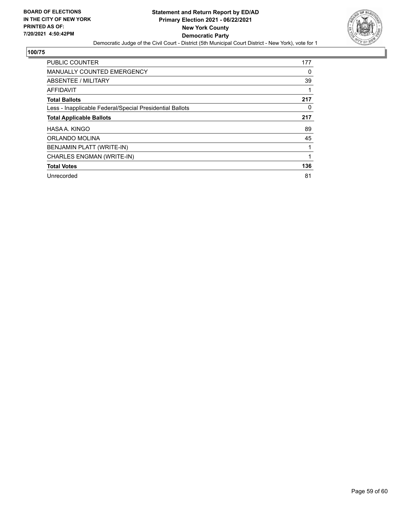

| PUBLIC COUNTER                                           | 177 |
|----------------------------------------------------------|-----|
| <b>MANUALLY COUNTED EMERGENCY</b>                        | 0   |
| ABSENTEE / MILITARY                                      | 39  |
| <b>AFFIDAVIT</b>                                         | 1   |
| <b>Total Ballots</b>                                     | 217 |
| Less - Inapplicable Federal/Special Presidential Ballots | 0   |
| <b>Total Applicable Ballots</b>                          | 217 |
| HASA A. KINGO                                            | 89  |
| ORLANDO MOLINA                                           | 45  |
| BENJAMIN PLATT (WRITE-IN)                                | 1   |
| CHARLES ENGMAN (WRITE-IN)                                | 1   |
| <b>Total Votes</b>                                       | 136 |
| Unrecorded                                               | 81  |